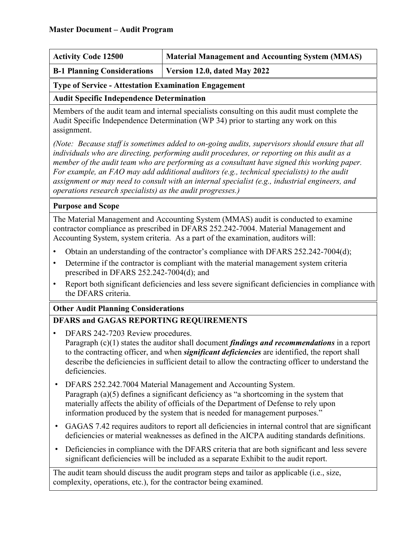| <b>Activity Code 12500</b>         | Material Management and Accounting System (MMAS) |
|------------------------------------|--------------------------------------------------|
| <b>B-1 Planning Considerations</b> | Version 12.0, dated May 2022                     |

#### **Type of Service - Attestation Examination Engagement**

**Audit Specific Independence Determination**

Members of the audit team and internal specialists consulting on this audit must complete the Audit Specific Independence Determination (WP 34) prior to starting any work on this assignment.

*(Note: Because staff is sometimes added to on-going audits, supervisors should ensure that all individuals who are directing, performing audit procedures, or reporting on this audit as a member of the audit team who are performing as a consultant have signed this working paper. For example, an FAO may add additional auditors (e.g., technical specialists) to the audit assignment or may need to consult with an internal specialist (e.g., industrial engineers, and operations research specialists) as the audit progresses.)*

### **Purpose and Scope**

The Material Management and Accounting System (MMAS) audit is conducted to examine contractor compliance as prescribed in DFARS 252.242-7004. Material Management and Accounting System, system criteria. As a part of the examination, auditors will:

- Obtain an understanding of the contractor's compliance with DFARS 252.242-7004(d);
- Determine if the contractor is compliant with the material management system criteria prescribed in DFARS 252.242-7004(d); and
- Report both significant deficiencies and less severe significant deficiencies in compliance with the DFARS criteria.

### **Other Audit Planning Considerations**

### **DFARS and GAGAS REPORTING REQUIREMENTS**

- DFARS 242-7203 Review procedures. Paragraph (c)(1) states the auditor shall document *findings and recommendations* in a report to the contracting officer, and when *significant deficiencies* are identified, the report shall describe the deficiencies in sufficient detail to allow the contracting officer to understand the deficiencies.
- DFARS 252.242.7004 Material Management and Accounting System. Paragraph (a)(5) defines a significant deficiency as "a shortcoming in the system that materially affects the ability of officials of the Department of Defense to rely upon information produced by the system that is needed for management purposes."
- GAGAS 7.42 requires auditors to report all deficiencies in internal control that are significant deficiencies or material weaknesses as defined in the AICPA auditing standards definitions.
- Deficiencies in compliance with the DFARS criteria that are both significant and less severe significant deficiencies will be included as a separate Exhibit to the audit report.

The audit team should discuss the audit program steps and tailor as applicable (i.e., size, complexity, operations, etc.), for the contractor being examined.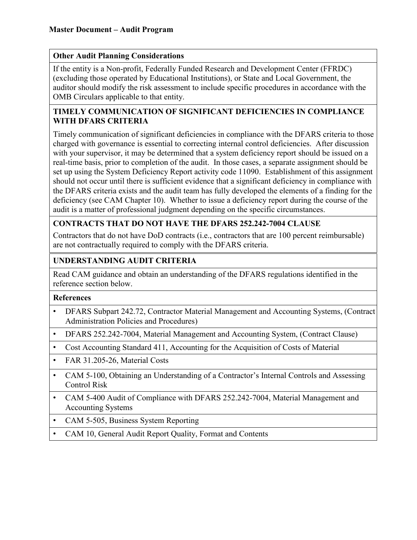#### **Other Audit Planning Considerations**

If the entity is a Non-profit, Federally Funded Research and Development Center (FFRDC) (excluding those operated by Educational Institutions), or State and Local Government, the auditor should modify the risk assessment to include specific procedures in accordance with the OMB Circulars applicable to that entity.

### **TIMELY COMMUNICATION OF SIGNIFICANT DEFICIENCIES IN COMPLIANCE WITH DFARS CRITERIA**

Timely communication of significant deficiencies in compliance with the DFARS criteria to those charged with governance is essential to correcting internal control deficiencies. After discussion with your supervisor, it may be determined that a system deficiency report should be issued on a real-time basis, prior to completion of the audit. In those cases, a separate assignment should be set up using the System Deficiency Report activity code 11090. Establishment of this assignment should not occur until there is sufficient evidence that a significant deficiency in compliance with the DFARS criteria exists and the audit team has fully developed the elements of a finding for the deficiency (see CAM Chapter 10). Whether to issue a deficiency report during the course of the audit is a matter of professional judgment depending on the specific circumstances.

### **CONTRACTS THAT DO NOT HAVE THE DFARS 252.242-7004 CLAUSE**

Contractors that do not have DoD contracts (i.e., contractors that are 100 percent reimbursable) are not contractually required to comply with the DFARS criteria.

### **UNDERSTANDING AUDIT CRITERIA**

Read CAM guidance and obtain an understanding of the DFARS regulations identified in the reference section below.

#### **References**

- DFARS Subpart 242.72, Contractor Material Management and Accounting Systems, (Contract Administration Policies and Procedures)
- DFARS 252.242-7004, Material Management and Accounting System, (Contract Clause)
- Cost Accounting Standard 411, Accounting for the Acquisition of Costs of Material
- FAR 31.205-26, Material Costs
- CAM 5-100, Obtaining an Understanding of a Contractor's Internal Controls and Assessing Control Risk
- CAM 5-400 Audit of Compliance with DFARS 252.242-7004, Material Management and Accounting Systems
- CAM 5-505, Business System Reporting
- CAM 10, General Audit Report Quality, Format and Contents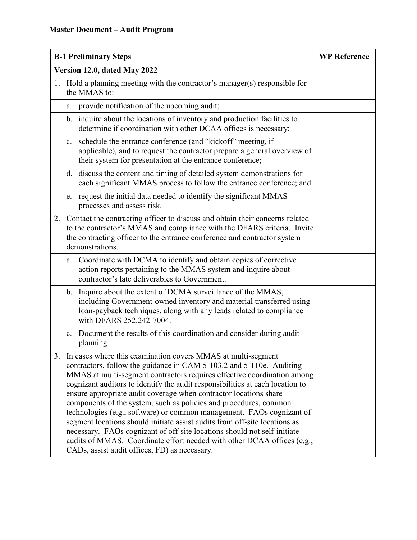| <b>B-1 Preliminary Steps</b>                                                                                                                                                                                                                                                                                                                                                                                                                                                                                                                                                                                                                                                                                                                                                                                 | <b>WP Reference</b> |
|--------------------------------------------------------------------------------------------------------------------------------------------------------------------------------------------------------------------------------------------------------------------------------------------------------------------------------------------------------------------------------------------------------------------------------------------------------------------------------------------------------------------------------------------------------------------------------------------------------------------------------------------------------------------------------------------------------------------------------------------------------------------------------------------------------------|---------------------|
| Version 12.0, dated May 2022                                                                                                                                                                                                                                                                                                                                                                                                                                                                                                                                                                                                                                                                                                                                                                                 |                     |
| 1. Hold a planning meeting with the contractor's manager(s) responsible for<br>the MMAS to:                                                                                                                                                                                                                                                                                                                                                                                                                                                                                                                                                                                                                                                                                                                  |                     |
| provide notification of the upcoming audit;<br>a.                                                                                                                                                                                                                                                                                                                                                                                                                                                                                                                                                                                                                                                                                                                                                            |                     |
| inquire about the locations of inventory and production facilities to<br>$\mathbf{b}$ .<br>determine if coordination with other DCAA offices is necessary;                                                                                                                                                                                                                                                                                                                                                                                                                                                                                                                                                                                                                                                   |                     |
| schedule the entrance conference (and "kickoff" meeting, if<br>c.<br>applicable), and to request the contractor prepare a general overview of<br>their system for presentation at the entrance conference;                                                                                                                                                                                                                                                                                                                                                                                                                                                                                                                                                                                                   |                     |
| d. discuss the content and timing of detailed system demonstrations for<br>each significant MMAS process to follow the entrance conference; and                                                                                                                                                                                                                                                                                                                                                                                                                                                                                                                                                                                                                                                              |                     |
| e. request the initial data needed to identify the significant MMAS<br>processes and assess risk.                                                                                                                                                                                                                                                                                                                                                                                                                                                                                                                                                                                                                                                                                                            |                     |
| 2. Contact the contracting officer to discuss and obtain their concerns related<br>to the contractor's MMAS and compliance with the DFARS criteria. Invite<br>the contracting officer to the entrance conference and contractor system<br>demonstrations.                                                                                                                                                                                                                                                                                                                                                                                                                                                                                                                                                    |                     |
| a. Coordinate with DCMA to identify and obtain copies of corrective<br>action reports pertaining to the MMAS system and inquire about<br>contractor's late deliverables to Government.                                                                                                                                                                                                                                                                                                                                                                                                                                                                                                                                                                                                                       |                     |
| b. Inquire about the extent of DCMA surveillance of the MMAS,<br>including Government-owned inventory and material transferred using<br>loan-payback techniques, along with any leads related to compliance<br>with DFARS 252.242-7004.                                                                                                                                                                                                                                                                                                                                                                                                                                                                                                                                                                      |                     |
| Document the results of this coordination and consider during audit<br>$c_{\cdot}$<br>planning.                                                                                                                                                                                                                                                                                                                                                                                                                                                                                                                                                                                                                                                                                                              |                     |
| 3. In cases where this examination covers MMAS at multi-segment<br>contractors, follow the guidance in CAM 5-103.2 and 5-110e. Auditing<br>MMAS at multi-segment contractors requires effective coordination among<br>cognizant auditors to identify the audit responsibilities at each location to<br>ensure appropriate audit coverage when contractor locations share<br>components of the system, such as policies and procedures, common<br>technologies (e.g., software) or common management. FAOs cognizant of<br>segment locations should initiate assist audits from off-site locations as<br>necessary. FAOs cognizant of off-site locations should not self-initiate<br>audits of MMAS. Coordinate effort needed with other DCAA offices (e.g.,<br>CADs, assist audit offices, FD) as necessary. |                     |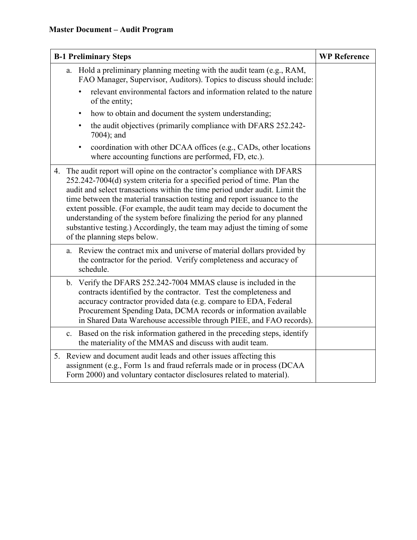| <b>B-1 Preliminary Steps</b>                                                                                                                                                                                                                                                                                                                                                                                                                                                                                                                                                            | <b>WP Reference</b> |
|-----------------------------------------------------------------------------------------------------------------------------------------------------------------------------------------------------------------------------------------------------------------------------------------------------------------------------------------------------------------------------------------------------------------------------------------------------------------------------------------------------------------------------------------------------------------------------------------|---------------------|
| a. Hold a preliminary planning meeting with the audit team (e.g., RAM,<br>FAO Manager, Supervisor, Auditors). Topics to discuss should include:                                                                                                                                                                                                                                                                                                                                                                                                                                         |                     |
| relevant environmental factors and information related to the nature<br>of the entity;                                                                                                                                                                                                                                                                                                                                                                                                                                                                                                  |                     |
| how to obtain and document the system understanding;<br>$\bullet$                                                                                                                                                                                                                                                                                                                                                                                                                                                                                                                       |                     |
| the audit objectives (primarily compliance with DFARS 252.242-<br>7004); and                                                                                                                                                                                                                                                                                                                                                                                                                                                                                                            |                     |
| coordination with other DCAA offices (e.g., CADs, other locations<br>$\bullet$<br>where accounting functions are performed, FD, etc.).                                                                                                                                                                                                                                                                                                                                                                                                                                                  |                     |
| The audit report will opine on the contractor's compliance with DFARS<br>4.<br>252.242-7004(d) system criteria for a specified period of time. Plan the<br>audit and select transactions within the time period under audit. Limit the<br>time between the material transaction testing and report issuance to the<br>extent possible. (For example, the audit team may decide to document the<br>understanding of the system before finalizing the period for any planned<br>substantive testing.) Accordingly, the team may adjust the timing of some<br>of the planning steps below. |                     |
| Review the contract mix and universe of material dollars provided by<br>a.<br>the contractor for the period. Verify completeness and accuracy of<br>schedule.                                                                                                                                                                                                                                                                                                                                                                                                                           |                     |
| b. Verify the DFARS 252.242-7004 MMAS clause is included in the<br>contracts identified by the contractor. Test the completeness and<br>accuracy contractor provided data (e.g. compare to EDA, Federal<br>Procurement Spending Data, DCMA records or information available<br>in Shared Data Warehouse accessible through PIEE, and FAO records).                                                                                                                                                                                                                                      |                     |
| c. Based on the risk information gathered in the preceding steps, identify<br>the materiality of the MMAS and discuss with audit team.                                                                                                                                                                                                                                                                                                                                                                                                                                                  |                     |
| 5. Review and document audit leads and other issues affecting this<br>assignment (e.g., Form 1s and fraud referrals made or in process (DCAA<br>Form 2000) and voluntary contactor disclosures related to material).                                                                                                                                                                                                                                                                                                                                                                    |                     |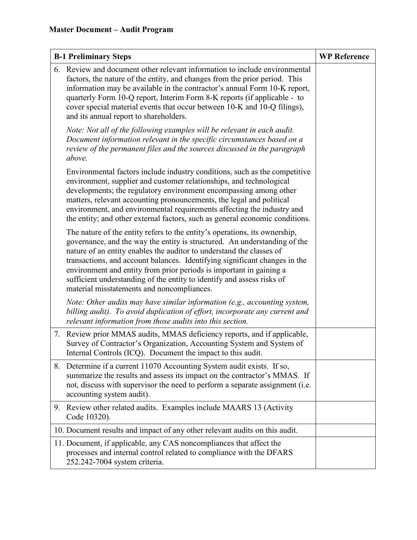| <b>B-1 Preliminary Steps</b> |                                                                                                                                                                                                                                                                                                                                                                                                                                                                                                              | <b>WP Reference</b> |
|------------------------------|--------------------------------------------------------------------------------------------------------------------------------------------------------------------------------------------------------------------------------------------------------------------------------------------------------------------------------------------------------------------------------------------------------------------------------------------------------------------------------------------------------------|---------------------|
|                              | 6. Review and document other relevant information to include environmental<br>factors, the nature of the entity, and changes from the prior period. This<br>information may be available in the contractor's annual Form 10-K report,<br>quarterly Form 10-Q report, Interim Form 8-K reports (if applicable - to<br>cover special material events that occur between 10-K and 10-Q filings),<br>and its annual report to shareholders.                                                                      |                     |
|                              | Note: Not all of the following examples will be relevant in each audit.<br>Document information relevant in the specific circumstances based on a<br>review of the permanent files and the sources discussed in the paragraph<br>above.                                                                                                                                                                                                                                                                      |                     |
|                              | Environmental factors include industry conditions, such as the competitive<br>environment, supplier and customer relationships, and technological<br>developments; the regulatory environment encompassing among other<br>matters, relevant accounting pronouncements, the legal and political<br>environment, and environmental requirements affecting the industry and<br>the entity; and other external factors, such as general economic conditions.                                                     |                     |
|                              | The nature of the entity refers to the entity's operations, its ownership,<br>governance, and the way the entity is structured. An understanding of the<br>nature of an entity enables the auditor to understand the classes of<br>transactions, and account balances. Identifying significant changes in the<br>environment and entity from prior periods is important in gaining a<br>sufficient understanding of the entity to identify and assess risks of<br>material misstatements and noncompliances. |                     |
|                              | Note: Other audits may have similar information (e.g., accounting system,<br>billing audit). To avoid duplication of effort, incorporate any current and<br>relevant information from those audits into this section.                                                                                                                                                                                                                                                                                        |                     |
|                              | 7. Review prior MMAS audits, MMAS deficiency reports, and if applicable,<br>Survey of Contractor's Organization, Accounting System and System of<br>Internal Controls (ICQ). Document the impact to this audit.                                                                                                                                                                                                                                                                                              |                     |
| 8.                           | Determine if a current 11070 Accounting System audit exists. If so,<br>summarize the results and assess its impact on the contractor's MMAS. If<br>not, discuss with supervisor the need to perform a separate assignment (i.e.<br>accounting system audit).                                                                                                                                                                                                                                                 |                     |
| 9.                           | Review other related audits. Examples include MAARS 13 (Activity<br>Code 10320).                                                                                                                                                                                                                                                                                                                                                                                                                             |                     |
|                              | 10. Document results and impact of any other relevant audits on this audit.                                                                                                                                                                                                                                                                                                                                                                                                                                  |                     |
|                              | 11. Document, if applicable, any CAS noncompliances that affect the<br>processes and internal control related to compliance with the DFARS<br>252.242-7004 system criteria.                                                                                                                                                                                                                                                                                                                                  |                     |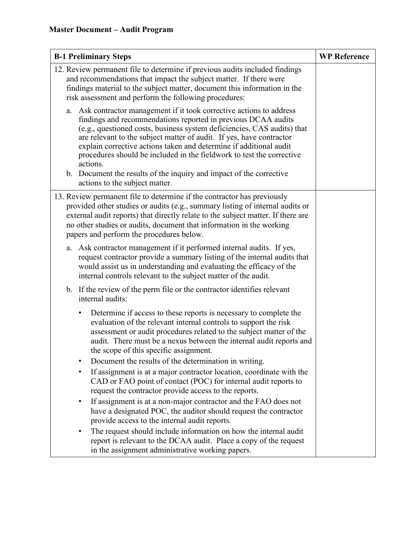| <b>B-1 Preliminary Steps</b>                                                                                                                                                                                                                                                                                                                                                                                                                                                                                                                                                                                                                                       | <b>WP Reference</b> |
|--------------------------------------------------------------------------------------------------------------------------------------------------------------------------------------------------------------------------------------------------------------------------------------------------------------------------------------------------------------------------------------------------------------------------------------------------------------------------------------------------------------------------------------------------------------------------------------------------------------------------------------------------------------------|---------------------|
| 12. Review permanent file to determine if previous audits included findings<br>and recommendations that impact the subject matter. If there were<br>findings material to the subject matter, document this information in the<br>risk assessment and perform the following procedures:                                                                                                                                                                                                                                                                                                                                                                             |                     |
| a. Ask contractor management if it took corrective actions to address<br>findings and recommendations reported in previous DCAA audits<br>(e.g., questioned costs, business system deficiencies, CAS audits) that<br>are relevant to the subject matter of audit. If yes, have contractor<br>explain corrective actions taken and determine if additional audit<br>procedures should be included in the fieldwork to test the corrective<br>actions.<br>b. Document the results of the inquiry and impact of the corrective<br>actions to the subject matter.                                                                                                      |                     |
| 13. Review permanent file to determine if the contractor has previously<br>provided other studies or audits (e.g., summary listing of internal audits or<br>external audit reports) that directly relate to the subject matter. If there are<br>no other studies or audits, document that information in the working<br>papers and perform the procedures below.                                                                                                                                                                                                                                                                                                   |                     |
| Ask contractor management if it performed internal audits. If yes,<br>a.<br>request contractor provide a summary listing of the internal audits that<br>would assist us in understanding and evaluating the efficacy of the<br>internal controls relevant to the subject matter of the audit.                                                                                                                                                                                                                                                                                                                                                                      |                     |
| b. If the review of the perm file or the contractor identifies relevant<br>internal audits:                                                                                                                                                                                                                                                                                                                                                                                                                                                                                                                                                                        |                     |
| Determine if access to these reports is necessary to complete the<br>evaluation of the relevant internal controls to support the risk<br>assessment or audit procedures related to the subject matter of the<br>audit. There must be a nexus between the internal audit reports and<br>the scope of this specific assignment.<br>Document the results of the determination in writing.<br>If assignment is at a major contractor location, coordinate with the<br>CAD or FAO point of contact (POC) for internal audit reports to<br>request the contractor provide access to the reports.<br>If assignment is at a non-major contractor and the FAO does not<br>٠ |                     |
| have a designated POC, the auditor should request the contractor<br>provide access to the internal audit reports.<br>The request should include information on how the internal audit<br>report is relevant to the DCAA audit. Place a copy of the request<br>in the assignment administrative working papers.                                                                                                                                                                                                                                                                                                                                                     |                     |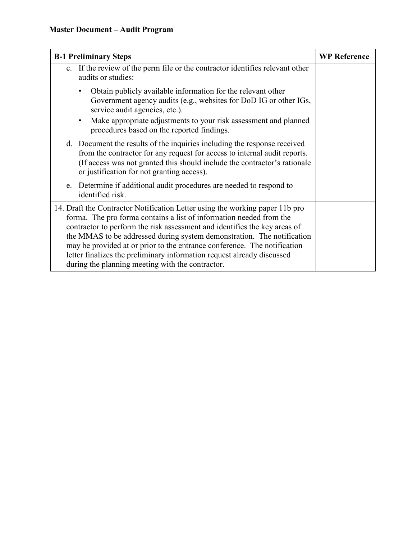| <b>B-1 Preliminary Steps</b>                                                                                                                                                                                                                                                                                                                                                                                                                                                                                         | <b>WP Reference</b> |
|----------------------------------------------------------------------------------------------------------------------------------------------------------------------------------------------------------------------------------------------------------------------------------------------------------------------------------------------------------------------------------------------------------------------------------------------------------------------------------------------------------------------|---------------------|
| c. If the review of the perm file or the contractor identifies relevant other<br>audits or studies:                                                                                                                                                                                                                                                                                                                                                                                                                  |                     |
| Obtain publicly available information for the relevant other<br>Government agency audits (e.g., websites for DoD IG or other IGs,<br>service audit agencies, etc.).<br>Make appropriate adjustments to your risk assessment and planned<br>procedures based on the reported findings.                                                                                                                                                                                                                                |                     |
| d. Document the results of the inquiries including the response received<br>from the contractor for any request for access to internal audit reports.<br>(If access was not granted this should include the contractor's rationale<br>or justification for not granting access).                                                                                                                                                                                                                                     |                     |
| e. Determine if additional audit procedures are needed to respond to<br>identified risk.                                                                                                                                                                                                                                                                                                                                                                                                                             |                     |
| 14. Draft the Contractor Notification Letter using the working paper 11b pro<br>forma. The pro forma contains a list of information needed from the<br>contractor to perform the risk assessment and identifies the key areas of<br>the MMAS to be addressed during system demonstration. The notification<br>may be provided at or prior to the entrance conference. The notification<br>letter finalizes the preliminary information request already discussed<br>during the planning meeting with the contractor. |                     |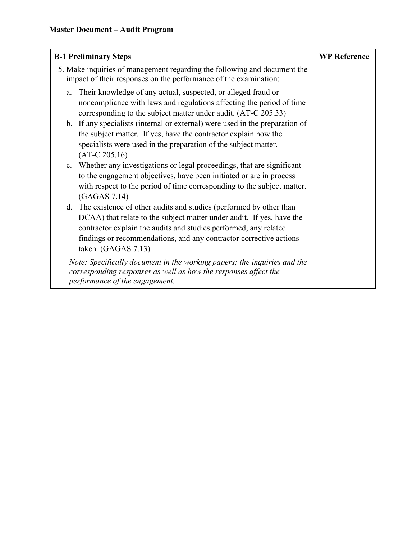| <b>B-1 Preliminary Steps</b>                                                                                                                                                                                                                                                                                       | <b>WP Reference</b> |
|--------------------------------------------------------------------------------------------------------------------------------------------------------------------------------------------------------------------------------------------------------------------------------------------------------------------|---------------------|
| 15. Make inquiries of management regarding the following and document the<br>impact of their responses on the performance of the examination:                                                                                                                                                                      |                     |
| Their knowledge of any actual, suspected, or alleged fraud or<br>a.<br>noncompliance with laws and regulations affecting the period of time<br>corresponding to the subject matter under audit. (AT-C 205.33)                                                                                                      |                     |
| b. If any specialists (internal or external) were used in the preparation of<br>the subject matter. If yes, have the contractor explain how the<br>specialists were used in the preparation of the subject matter.<br>$(AT-C 205.16)$                                                                              |                     |
| c. Whether any investigations or legal proceedings, that are significant<br>to the engagement objectives, have been initiated or are in process<br>with respect to the period of time corresponding to the subject matter.<br>(GAGAS 7.14)                                                                         |                     |
| The existence of other audits and studies (performed by other than<br>d.<br>DCAA) that relate to the subject matter under audit. If yes, have the<br>contractor explain the audits and studies performed, any related<br>findings or recommendations, and any contractor corrective actions<br>taken. (GAGAS 7.13) |                     |
| Note: Specifically document in the working papers; the inquiries and the<br>corresponding responses as well as how the responses affect the<br>performance of the engagement.                                                                                                                                      |                     |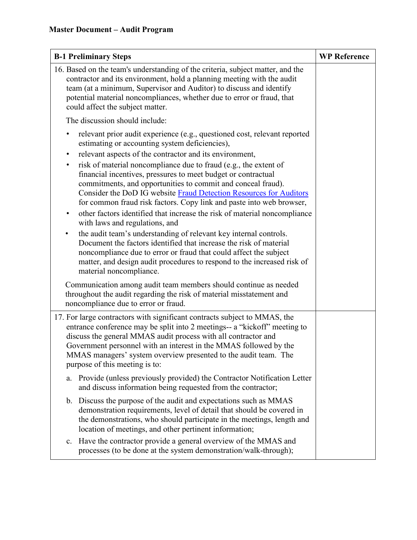| <b>B-1 Preliminary Steps</b>                                                                                                                                                                                                                                                                                                                                                                                                                                                                                                                                                                                                                                                                                                                                                                                                                                                                                                                                                                                                            | <b>WP Reference</b> |
|-----------------------------------------------------------------------------------------------------------------------------------------------------------------------------------------------------------------------------------------------------------------------------------------------------------------------------------------------------------------------------------------------------------------------------------------------------------------------------------------------------------------------------------------------------------------------------------------------------------------------------------------------------------------------------------------------------------------------------------------------------------------------------------------------------------------------------------------------------------------------------------------------------------------------------------------------------------------------------------------------------------------------------------------|---------------------|
| 16. Based on the team's understanding of the criteria, subject matter, and the<br>contractor and its environment, hold a planning meeting with the audit<br>team (at a minimum, Supervisor and Auditor) to discuss and identify<br>potential material noncompliances, whether due to error or fraud, that<br>could affect the subject matter.                                                                                                                                                                                                                                                                                                                                                                                                                                                                                                                                                                                                                                                                                           |                     |
| The discussion should include:                                                                                                                                                                                                                                                                                                                                                                                                                                                                                                                                                                                                                                                                                                                                                                                                                                                                                                                                                                                                          |                     |
| relevant prior audit experience (e.g., questioned cost, relevant reported<br>$\bullet$<br>estimating or accounting system deficiencies),<br>relevant aspects of the contractor and its environment,<br>$\bullet$<br>risk of material noncompliance due to fraud (e.g., the extent of<br>$\bullet$<br>financial incentives, pressures to meet budget or contractual<br>commitments, and opportunities to commit and conceal fraud).<br>Consider the DoD IG website Fraud Detection Resources for Auditors<br>for common fraud risk factors. Copy link and paste into web browser,<br>other factors identified that increase the risk of material noncompliance<br>٠<br>with laws and regulations, and<br>the audit team's understanding of relevant key internal controls.<br>$\bullet$<br>Document the factors identified that increase the risk of material<br>noncompliance due to error or fraud that could affect the subject<br>matter, and design audit procedures to respond to the increased risk of<br>material noncompliance. |                     |
| Communication among audit team members should continue as needed<br>throughout the audit regarding the risk of material misstatement and<br>noncompliance due to error or fraud.                                                                                                                                                                                                                                                                                                                                                                                                                                                                                                                                                                                                                                                                                                                                                                                                                                                        |                     |
| 17. For large contractors with significant contracts subject to MMAS, the<br>entrance conference may be split into 2 meetings-- a "kickoff" meeting to<br>discuss the general MMAS audit process with all contractor and<br>Government personnel with an interest in the MMAS followed by the<br>MMAS managers' system overview presented to the audit team. The<br>purpose of this meeting is to:                                                                                                                                                                                                                                                                                                                                                                                                                                                                                                                                                                                                                                      |                     |
| Provide (unless previously provided) the Contractor Notification Letter<br>a.<br>and discuss information being requested from the contractor;                                                                                                                                                                                                                                                                                                                                                                                                                                                                                                                                                                                                                                                                                                                                                                                                                                                                                           |                     |
| b. Discuss the purpose of the audit and expectations such as MMAS<br>demonstration requirements, level of detail that should be covered in<br>the demonstrations, who should participate in the meetings, length and<br>location of meetings, and other pertinent information;                                                                                                                                                                                                                                                                                                                                                                                                                                                                                                                                                                                                                                                                                                                                                          |                     |
| Have the contractor provide a general overview of the MMAS and<br>$\mathbf{c}$ .<br>processes (to be done at the system demonstration/walk-through);                                                                                                                                                                                                                                                                                                                                                                                                                                                                                                                                                                                                                                                                                                                                                                                                                                                                                    |                     |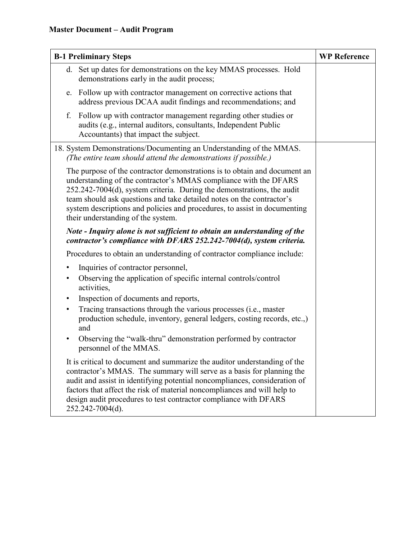| <b>B-1 Preliminary Steps</b>                                                                                                                                                                                                                                                                                                                                                                                        | <b>WP Reference</b> |
|---------------------------------------------------------------------------------------------------------------------------------------------------------------------------------------------------------------------------------------------------------------------------------------------------------------------------------------------------------------------------------------------------------------------|---------------------|
| d. Set up dates for demonstrations on the key MMAS processes. Hold<br>demonstrations early in the audit process;                                                                                                                                                                                                                                                                                                    |                     |
| e. Follow up with contractor management on corrective actions that<br>address previous DCAA audit findings and recommendations; and                                                                                                                                                                                                                                                                                 |                     |
| Follow up with contractor management regarding other studies or<br>f.<br>audits (e.g., internal auditors, consultants, Independent Public<br>Accountants) that impact the subject.                                                                                                                                                                                                                                  |                     |
| 18. System Demonstrations/Documenting an Understanding of the MMAS.<br>(The entire team should attend the demonstrations if possible.)                                                                                                                                                                                                                                                                              |                     |
| The purpose of the contractor demonstrations is to obtain and document an<br>understanding of the contractor's MMAS compliance with the DFARS<br>252.242-7004(d), system criteria. During the demonstrations, the audit<br>team should ask questions and take detailed notes on the contractor's<br>system descriptions and policies and procedures, to assist in documenting<br>their understanding of the system. |                     |
| Note - Inquiry alone is not sufficient to obtain an understanding of the<br>contractor's compliance with DFARS 252.242-7004(d), system criteria.                                                                                                                                                                                                                                                                    |                     |
| Procedures to obtain an understanding of contractor compliance include:                                                                                                                                                                                                                                                                                                                                             |                     |
| Inquiries of contractor personnel,<br>$\bullet$                                                                                                                                                                                                                                                                                                                                                                     |                     |
| Observing the application of specific internal controls/control<br>$\bullet$<br>activities,                                                                                                                                                                                                                                                                                                                         |                     |
| Inspection of documents and reports,<br>٠                                                                                                                                                                                                                                                                                                                                                                           |                     |
| Tracing transactions through the various processes (i.e., master<br>$\bullet$<br>production schedule, inventory, general ledgers, costing records, etc.,)<br>and                                                                                                                                                                                                                                                    |                     |
| Observing the "walk-thru" demonstration performed by contractor<br>$\bullet$<br>personnel of the MMAS.                                                                                                                                                                                                                                                                                                              |                     |
| It is critical to document and summarize the auditor understanding of the<br>contractor's MMAS. The summary will serve as a basis for planning the<br>audit and assist in identifying potential noncompliances, consideration of<br>factors that affect the risk of material noncompliances and will help to<br>design audit procedures to test contractor compliance with DFARS<br>252.242-7004(d).                |                     |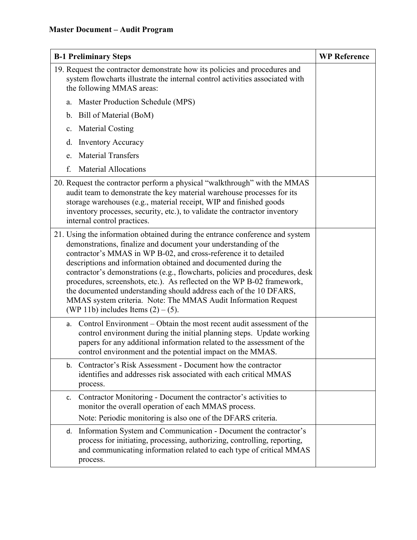| <b>B-1 Preliminary Steps</b>                                                                                                                                                                                                                                                                                                                                                                                                                                                                                                                                                                                                     | <b>WP Reference</b> |
|----------------------------------------------------------------------------------------------------------------------------------------------------------------------------------------------------------------------------------------------------------------------------------------------------------------------------------------------------------------------------------------------------------------------------------------------------------------------------------------------------------------------------------------------------------------------------------------------------------------------------------|---------------------|
| 19. Request the contractor demonstrate how its policies and procedures and<br>system flowcharts illustrate the internal control activities associated with<br>the following MMAS areas:                                                                                                                                                                                                                                                                                                                                                                                                                                          |                     |
| Master Production Schedule (MPS)<br>a.                                                                                                                                                                                                                                                                                                                                                                                                                                                                                                                                                                                           |                     |
| Bill of Material (BoM)<br>b.                                                                                                                                                                                                                                                                                                                                                                                                                                                                                                                                                                                                     |                     |
| <b>Material Costing</b><br>$\mathbf{c}$ .                                                                                                                                                                                                                                                                                                                                                                                                                                                                                                                                                                                        |                     |
| d.<br><b>Inventory Accuracy</b>                                                                                                                                                                                                                                                                                                                                                                                                                                                                                                                                                                                                  |                     |
| <b>Material Transfers</b><br>e.                                                                                                                                                                                                                                                                                                                                                                                                                                                                                                                                                                                                  |                     |
| f.<br><b>Material Allocations</b>                                                                                                                                                                                                                                                                                                                                                                                                                                                                                                                                                                                                |                     |
| 20. Request the contractor perform a physical "walkthrough" with the MMAS<br>audit team to demonstrate the key material warehouse processes for its<br>storage warehouses (e.g., material receipt, WIP and finished goods<br>inventory processes, security, etc.), to validate the contractor inventory<br>internal control practices.                                                                                                                                                                                                                                                                                           |                     |
| 21. Using the information obtained during the entrance conference and system<br>demonstrations, finalize and document your understanding of the<br>contractor's MMAS in WP B-02, and cross-reference it to detailed<br>descriptions and information obtained and documented during the<br>contractor's demonstrations (e.g., flowcharts, policies and procedures, desk<br>procedures, screenshots, etc.). As reflected on the WP B-02 framework,<br>the documented understanding should address each of the 10 DFARS,<br>MMAS system criteria. Note: The MMAS Audit Information Request<br>(WP 11b) includes Items $(2) - (5)$ . |                     |
| Control Environment – Obtain the most recent audit assessment of the<br>a.<br>control environment during the initial planning steps. Update working<br>papers for any additional information related to the assessment of the<br>control environment and the potential impact on the MMAS.                                                                                                                                                                                                                                                                                                                                       |                     |
| Contractor's Risk Assessment - Document how the contractor<br>b.<br>identifies and addresses risk associated with each critical MMAS<br>process.                                                                                                                                                                                                                                                                                                                                                                                                                                                                                 |                     |
| Contractor Monitoring - Document the contractor's activities to<br>c.<br>monitor the overall operation of each MMAS process.                                                                                                                                                                                                                                                                                                                                                                                                                                                                                                     |                     |
| Note: Periodic monitoring is also one of the DFARS criteria.                                                                                                                                                                                                                                                                                                                                                                                                                                                                                                                                                                     |                     |
| Information System and Communication - Document the contractor's<br>d.<br>process for initiating, processing, authorizing, controlling, reporting,<br>and communicating information related to each type of critical MMAS<br>process.                                                                                                                                                                                                                                                                                                                                                                                            |                     |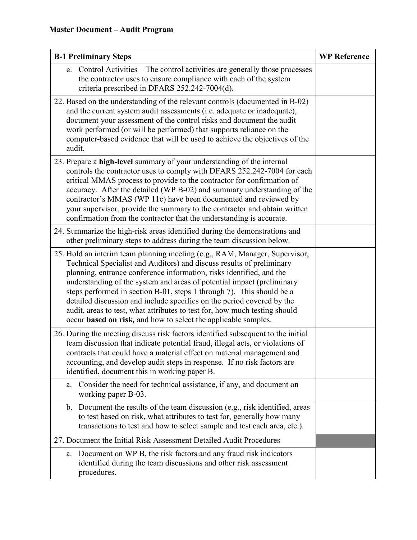| <b>B-1 Preliminary Steps</b>                                                                                                                                                                                                                                                                                                                                                                                                                                                                                                                                                                             | <b>WP Reference</b> |
|----------------------------------------------------------------------------------------------------------------------------------------------------------------------------------------------------------------------------------------------------------------------------------------------------------------------------------------------------------------------------------------------------------------------------------------------------------------------------------------------------------------------------------------------------------------------------------------------------------|---------------------|
| Control Activities – The control activities are generally those processes<br>e.<br>the contractor uses to ensure compliance with each of the system<br>criteria prescribed in DFARS 252.242-7004(d).                                                                                                                                                                                                                                                                                                                                                                                                     |                     |
| 22. Based on the understanding of the relevant controls (documented in B-02)<br>and the current system audit assessments (i.e. adequate or inadequate),<br>document your assessment of the control risks and document the audit<br>work performed (or will be performed) that supports reliance on the<br>computer-based evidence that will be used to achieve the objectives of the<br>audit.                                                                                                                                                                                                           |                     |
| 23. Prepare a high-level summary of your understanding of the internal<br>controls the contractor uses to comply with DFARS 252.242-7004 for each<br>critical MMAS process to provide to the contractor for confirmation of<br>accuracy. After the detailed (WP B-02) and summary understanding of the<br>contractor's MMAS (WP 11c) have been documented and reviewed by<br>your supervisor, provide the summary to the contractor and obtain written<br>confirmation from the contractor that the understanding is accurate.                                                                           |                     |
| 24. Summarize the high-risk areas identified during the demonstrations and<br>other preliminary steps to address during the team discussion below.                                                                                                                                                                                                                                                                                                                                                                                                                                                       |                     |
| 25. Hold an interim team planning meeting (e.g., RAM, Manager, Supervisor,<br>Technical Specialist and Auditors) and discuss results of preliminary<br>planning, entrance conference information, risks identified, and the<br>understanding of the system and areas of potential impact (preliminary<br>steps performed in section B-01, steps 1 through 7). This should be a<br>detailed discussion and include specifics on the period covered by the<br>audit, areas to test, what attributes to test for, how much testing should<br>occur based on risk, and how to select the applicable samples. |                     |
| 26. During the meeting discuss risk factors identified subsequent to the initial<br>team discussion that indicate potential fraud, illegal acts, or violations of<br>contracts that could have a material effect on material management and<br>accounting, and develop audit steps in response. If no risk factors are<br>identified, document this in working paper B.                                                                                                                                                                                                                                  |                     |
| Consider the need for technical assistance, if any, and document on<br>a.<br>working paper B-03.                                                                                                                                                                                                                                                                                                                                                                                                                                                                                                         |                     |
| Document the results of the team discussion (e.g., risk identified, areas<br>b.<br>to test based on risk, what attributes to test for, generally how many<br>transactions to test and how to select sample and test each area, etc.).                                                                                                                                                                                                                                                                                                                                                                    |                     |
| 27. Document the Initial Risk Assessment Detailed Audit Procedures                                                                                                                                                                                                                                                                                                                                                                                                                                                                                                                                       |                     |
| Document on WP B, the risk factors and any fraud risk indicators<br>a.<br>identified during the team discussions and other risk assessment<br>procedures.                                                                                                                                                                                                                                                                                                                                                                                                                                                |                     |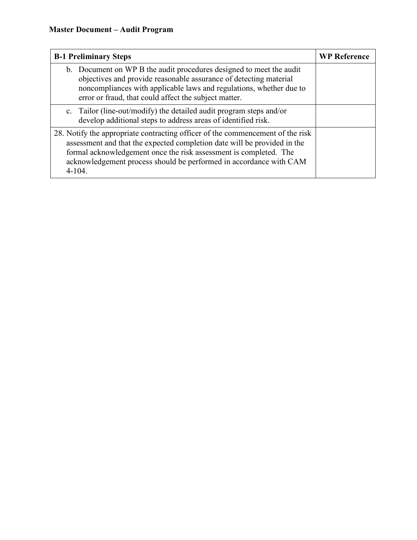| <b>B-1 Preliminary Steps</b>                                                                                                                                                                                                                                                                                        | <b>WP Reference</b> |
|---------------------------------------------------------------------------------------------------------------------------------------------------------------------------------------------------------------------------------------------------------------------------------------------------------------------|---------------------|
| b. Document on WP B the audit procedures designed to meet the audit<br>objectives and provide reasonable assurance of detecting material<br>noncompliances with applicable laws and regulations, whether due to<br>error or fraud, that could affect the subject matter.                                            |                     |
| c. Tailor (line-out/modify) the detailed audit program steps and/or<br>develop additional steps to address areas of identified risk.                                                                                                                                                                                |                     |
| 28. Notify the appropriate contracting officer of the commencement of the risk<br>assessment and that the expected completion date will be provided in the<br>formal acknowledgement once the risk assessment is completed. The<br>acknowledgement process should be performed in accordance with CAM<br>$4 - 104.$ |                     |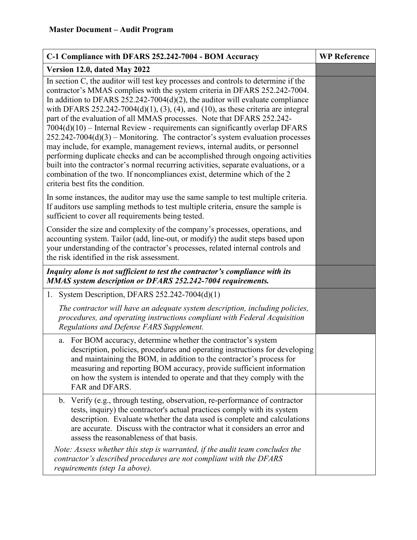| C-1 Compliance with DFARS 252.242-7004 - BOM Accuracy                                                                                                                                                                                                                                                                                                                                                                                                                                                                                                                                                                                                                                                                                                                                                                                                                                                                                                                | <b>WP Reference</b> |
|----------------------------------------------------------------------------------------------------------------------------------------------------------------------------------------------------------------------------------------------------------------------------------------------------------------------------------------------------------------------------------------------------------------------------------------------------------------------------------------------------------------------------------------------------------------------------------------------------------------------------------------------------------------------------------------------------------------------------------------------------------------------------------------------------------------------------------------------------------------------------------------------------------------------------------------------------------------------|---------------------|
| Version 12.0, dated May 2022                                                                                                                                                                                                                                                                                                                                                                                                                                                                                                                                                                                                                                                                                                                                                                                                                                                                                                                                         |                     |
| In section C, the auditor will test key processes and controls to determine if the<br>contractor's MMAS complies with the system criteria in DFARS 252.242-7004.<br>In addition to DFARS $252.242-7004(d)(2)$ , the auditor will evaluate compliance<br>with DFARS 252.242-7004(d)(1), (3), (4), and (10), as these criteria are integral<br>part of the evaluation of all MMAS processes. Note that DFARS 252.242-<br>$7004(d)(10)$ – Internal Review - requirements can significantly overlap DFARS<br>$252.242 - 7004(d)(3)$ – Monitoring. The contractor's system evaluation processes<br>may include, for example, management reviews, internal audits, or personnel<br>performing duplicate checks and can be accomplished through ongoing activities<br>built into the contractor's normal recurring activities, separate evaluations, or a<br>combination of the two. If noncompliances exist, determine which of the 2<br>criteria best fits the condition. |                     |
| In some instances, the auditor may use the same sample to test multiple criteria.<br>If auditors use sampling methods to test multiple criteria, ensure the sample is<br>sufficient to cover all requirements being tested.                                                                                                                                                                                                                                                                                                                                                                                                                                                                                                                                                                                                                                                                                                                                          |                     |
| Consider the size and complexity of the company's processes, operations, and<br>accounting system. Tailor (add, line-out, or modify) the audit steps based upon<br>your understanding of the contractor's processes, related internal controls and<br>the risk identified in the risk assessment.                                                                                                                                                                                                                                                                                                                                                                                                                                                                                                                                                                                                                                                                    |                     |
| Inquiry alone is not sufficient to test the contractor's compliance with its<br>MMAS system description or DFARS 252.242-7004 requirements.                                                                                                                                                                                                                                                                                                                                                                                                                                                                                                                                                                                                                                                                                                                                                                                                                          |                     |
| 1. System Description, DFARS $252.242 - 7004(d)(1)$                                                                                                                                                                                                                                                                                                                                                                                                                                                                                                                                                                                                                                                                                                                                                                                                                                                                                                                  |                     |
| The contractor will have an adequate system description, including policies,<br>procedures, and operating instructions compliant with Federal Acquisition<br>Regulations and Defense FARS Supplement.                                                                                                                                                                                                                                                                                                                                                                                                                                                                                                                                                                                                                                                                                                                                                                |                     |
| For BOM accuracy, determine whether the contractor's system<br>a.<br>description, policies, procedures and operating instructions for developing<br>and maintaining the BOM, in addition to the contractor's process for<br>measuring and reporting BOM accuracy, provide sufficient information<br>on how the system is intended to operate and that they comply with the<br>FAR and DFARS.                                                                                                                                                                                                                                                                                                                                                                                                                                                                                                                                                                         |                     |
| Verify (e.g., through testing, observation, re-performance of contractor<br>$\mathbf{b}$ .<br>tests, inquiry) the contractor's actual practices comply with its system<br>description. Evaluate whether the data used is complete and calculations<br>are accurate. Discuss with the contractor what it considers an error and<br>assess the reasonableness of that basis.                                                                                                                                                                                                                                                                                                                                                                                                                                                                                                                                                                                           |                     |
| Note: Assess whether this step is warranted, if the audit team concludes the<br>contractor's described procedures are not compliant with the DFARS<br>requirements (step 1a above).                                                                                                                                                                                                                                                                                                                                                                                                                                                                                                                                                                                                                                                                                                                                                                                  |                     |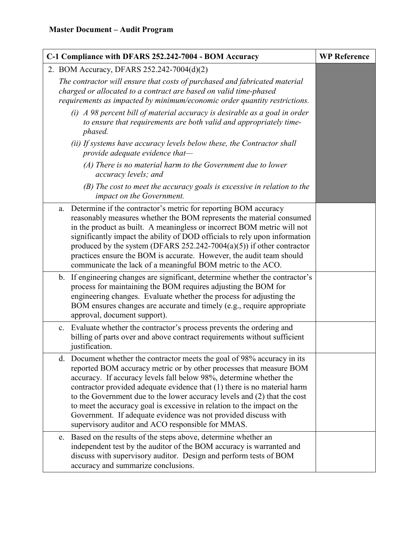| C-1 Compliance with DFARS 252.242-7004 - BOM Accuracy | <b>WP Reference</b>                                                                                                                                                                                                                                                                                                                                                                                                                                                                                                                                                                |  |
|-------------------------------------------------------|------------------------------------------------------------------------------------------------------------------------------------------------------------------------------------------------------------------------------------------------------------------------------------------------------------------------------------------------------------------------------------------------------------------------------------------------------------------------------------------------------------------------------------------------------------------------------------|--|
|                                                       | 2. BOM Accuracy, DFARS 252.242-7004(d)(2)                                                                                                                                                                                                                                                                                                                                                                                                                                                                                                                                          |  |
|                                                       | The contractor will ensure that costs of purchased and fabricated material<br>charged or allocated to a contract are based on valid time-phased<br>requirements as impacted by minimum/economic order quantity restrictions.                                                                                                                                                                                                                                                                                                                                                       |  |
|                                                       | $(i)$ A 98 percent bill of material accuracy is desirable as a goal in order<br>to ensure that requirements are both valid and appropriately time-<br>phased.                                                                                                                                                                                                                                                                                                                                                                                                                      |  |
|                                                       | (ii) If systems have accuracy levels below these, the Contractor shall<br>provide adequate evidence that-                                                                                                                                                                                                                                                                                                                                                                                                                                                                          |  |
|                                                       | $(A)$ There is no material harm to the Government due to lower<br>accuracy levels; and                                                                                                                                                                                                                                                                                                                                                                                                                                                                                             |  |
|                                                       | (B) The cost to meet the accuracy goals is excessive in relation to the<br>impact on the Government.                                                                                                                                                                                                                                                                                                                                                                                                                                                                               |  |
|                                                       | Determine if the contractor's metric for reporting BOM accuracy<br>a.<br>reasonably measures whether the BOM represents the material consumed<br>in the product as built. A meaningless or incorrect BOM metric will not<br>significantly impact the ability of DOD officials to rely upon information<br>produced by the system (DFARS $252.242 - 7004(a)(5)$ ) if other contractor<br>practices ensure the BOM is accurate. However, the audit team should<br>communicate the lack of a meaningful BOM metric to the ACO.                                                        |  |
|                                                       | b. If engineering changes are significant, determine whether the contractor's<br>process for maintaining the BOM requires adjusting the BOM for<br>engineering changes. Evaluate whether the process for adjusting the<br>BOM ensures changes are accurate and timely (e.g., require appropriate<br>approval, document support).                                                                                                                                                                                                                                                   |  |
|                                                       | c. Evaluate whether the contractor's process prevents the ordering and<br>billing of parts over and above contract requirements without sufficient<br>justification.                                                                                                                                                                                                                                                                                                                                                                                                               |  |
|                                                       | Document whether the contractor meets the goal of 98% accuracy in its<br>d.<br>reported BOM accuracy metric or by other processes that measure BOM<br>accuracy. If accuracy levels fall below 98%, determine whether the<br>contractor provided adequate evidence that (1) there is no material harm<br>to the Government due to the lower accuracy levels and (2) that the cost<br>to meet the accuracy goal is excessive in relation to the impact on the<br>Government. If adequate evidence was not provided discuss with<br>supervisory auditor and ACO responsible for MMAS. |  |
|                                                       | Based on the results of the steps above, determine whether an<br>e.<br>independent test by the auditor of the BOM accuracy is warranted and<br>discuss with supervisory auditor. Design and perform tests of BOM<br>accuracy and summarize conclusions.                                                                                                                                                                                                                                                                                                                            |  |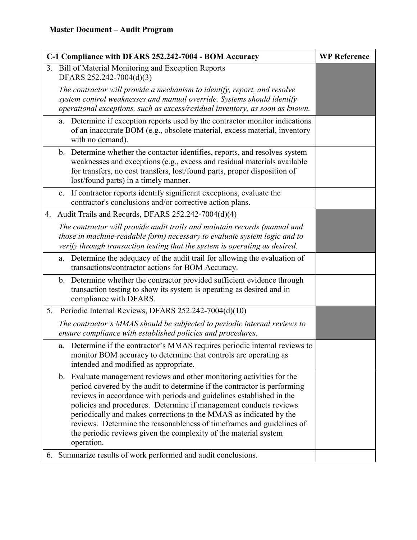| C-1 Compliance with DFARS 252.242-7004 - BOM Accuracy                                                                                                                                                                                                                                                                                                                                                                                                                                                                                          | <b>WP Reference</b> |
|------------------------------------------------------------------------------------------------------------------------------------------------------------------------------------------------------------------------------------------------------------------------------------------------------------------------------------------------------------------------------------------------------------------------------------------------------------------------------------------------------------------------------------------------|---------------------|
| 3. Bill of Material Monitoring and Exception Reports<br>DFARS 252.242-7004(d)(3)                                                                                                                                                                                                                                                                                                                                                                                                                                                               |                     |
| The contractor will provide a mechanism to identify, report, and resolve<br>system control weaknesses and manual override. Systems should identify<br>operational exceptions, such as excess/residual inventory, as soon as known.                                                                                                                                                                                                                                                                                                             |                     |
| Determine if exception reports used by the contractor monitor indications<br>a.<br>of an inaccurate BOM (e.g., obsolete material, excess material, inventory<br>with no demand).                                                                                                                                                                                                                                                                                                                                                               |                     |
| b. Determine whether the contactor identifies, reports, and resolves system<br>weaknesses and exceptions (e.g., excess and residual materials available<br>for transfers, no cost transfers, lost/found parts, proper disposition of<br>lost/found parts) in a timely manner.                                                                                                                                                                                                                                                                  |                     |
| If contractor reports identify significant exceptions, evaluate the<br>c.<br>contractor's conclusions and/or corrective action plans.                                                                                                                                                                                                                                                                                                                                                                                                          |                     |
| 4. Audit Trails and Records, DFARS 252.242-7004(d)(4)                                                                                                                                                                                                                                                                                                                                                                                                                                                                                          |                     |
| The contractor will provide audit trails and maintain records (manual and<br>those in machine-readable form) necessary to evaluate system logic and to<br>verify through transaction testing that the system is operating as desired.                                                                                                                                                                                                                                                                                                          |                     |
| Determine the adequacy of the audit trail for allowing the evaluation of<br>a.<br>transactions/contractor actions for BOM Accuracy.                                                                                                                                                                                                                                                                                                                                                                                                            |                     |
| b. Determine whether the contractor provided sufficient evidence through<br>transaction testing to show its system is operating as desired and in<br>compliance with DFARS.                                                                                                                                                                                                                                                                                                                                                                    |                     |
| Periodic Internal Reviews, DFARS 252.242-7004(d)(10)<br>5.                                                                                                                                                                                                                                                                                                                                                                                                                                                                                     |                     |
| The contractor's MMAS should be subjected to periodic internal reviews to<br>ensure compliance with established policies and procedures.                                                                                                                                                                                                                                                                                                                                                                                                       |                     |
| Determine if the contractor's MMAS requires periodic internal reviews to<br>a.<br>monitor BOM accuracy to determine that controls are operating as<br>intended and modified as appropriate.                                                                                                                                                                                                                                                                                                                                                    |                     |
| Evaluate management reviews and other monitoring activities for the<br>$\mathbf b$ .<br>period covered by the audit to determine if the contractor is performing<br>reviews in accordance with periods and guidelines established in the<br>policies and procedures. Determine if management conducts reviews<br>periodically and makes corrections to the MMAS as indicated by the<br>reviews. Determine the reasonableness of timeframes and guidelines of<br>the periodic reviews given the complexity of the material system<br>operation. |                     |
| 6. Summarize results of work performed and audit conclusions.                                                                                                                                                                                                                                                                                                                                                                                                                                                                                  |                     |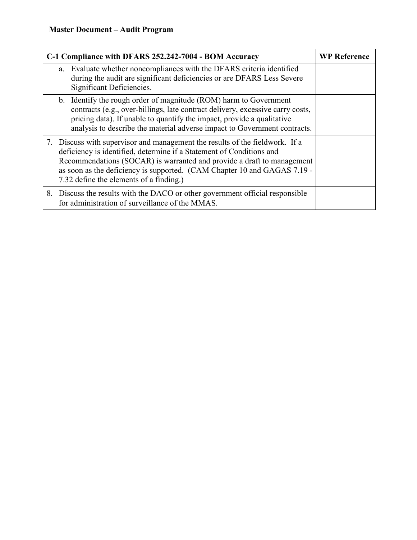| C-1 Compliance with DFARS 252.242-7004 - BOM Accuracy | <b>WP Reference</b>                                                                                                                                                                                                                                                                                                                                   |  |
|-------------------------------------------------------|-------------------------------------------------------------------------------------------------------------------------------------------------------------------------------------------------------------------------------------------------------------------------------------------------------------------------------------------------------|--|
|                                                       | a. Evaluate whether noncompliances with the DFARS criteria identified<br>during the audit are significant deficiencies or are DFARS Less Severe<br>Significant Deficiencies.                                                                                                                                                                          |  |
|                                                       | b. Identify the rough order of magnitude (ROM) harm to Government<br>contracts (e.g., over-billings, late contract delivery, excessive carry costs,<br>pricing data). If unable to quantify the impact, provide a qualitative<br>analysis to describe the material adverse impact to Government contracts.                                            |  |
|                                                       | 7. Discuss with supervisor and management the results of the fieldwork. If a<br>deficiency is identified, determine if a Statement of Conditions and<br>Recommendations (SOCAR) is warranted and provide a draft to management<br>as soon as the deficiency is supported. (CAM Chapter 10 and GAGAS 7.19 -<br>7.32 define the elements of a finding.) |  |
|                                                       | 8. Discuss the results with the DACO or other government official responsible<br>for administration of surveillance of the MMAS.                                                                                                                                                                                                                      |  |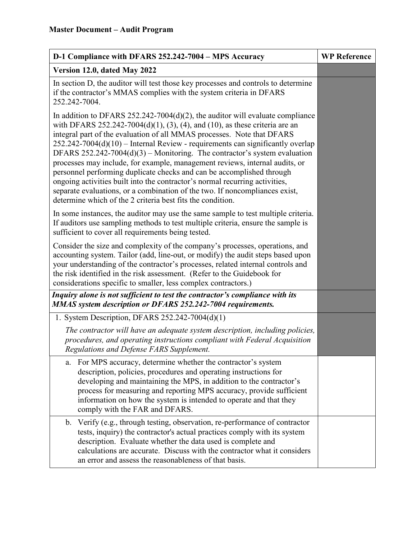| D-1 Compliance with DFARS 252.242-7004 - MPS Accuracy                                                                                                                                                                                                                                                                                                                                                                                                                                                                                                                                                                                                                                                                                                                                             | <b>WP Reference</b> |
|---------------------------------------------------------------------------------------------------------------------------------------------------------------------------------------------------------------------------------------------------------------------------------------------------------------------------------------------------------------------------------------------------------------------------------------------------------------------------------------------------------------------------------------------------------------------------------------------------------------------------------------------------------------------------------------------------------------------------------------------------------------------------------------------------|---------------------|
| Version 12.0, dated May 2022                                                                                                                                                                                                                                                                                                                                                                                                                                                                                                                                                                                                                                                                                                                                                                      |                     |
| In section D, the auditor will test those key processes and controls to determine<br>if the contractor's MMAS complies with the system criteria in DFARS<br>252.242-7004.                                                                                                                                                                                                                                                                                                                                                                                                                                                                                                                                                                                                                         |                     |
| In addition to DFARS $252.242-7004(d)(2)$ , the auditor will evaluate compliance<br>with DFARS 252.242-7004(d)(1), (3), (4), and (10), as these criteria are an<br>integral part of the evaluation of all MMAS processes. Note that DFARS<br>$252.242$ -7004(d)(10) – Internal Review - requirements can significantly overlap<br>DFARS $252.242-7004(d)(3)$ – Monitoring. The contractor's system evaluation<br>processes may include, for example, management reviews, internal audits, or<br>personnel performing duplicate checks and can be accomplished through<br>ongoing activities built into the contractor's normal recurring activities,<br>separate evaluations, or a combination of the two. If noncompliances exist,<br>determine which of the 2 criteria best fits the condition. |                     |
| In some instances, the auditor may use the same sample to test multiple criteria.<br>If auditors use sampling methods to test multiple criteria, ensure the sample is<br>sufficient to cover all requirements being tested.                                                                                                                                                                                                                                                                                                                                                                                                                                                                                                                                                                       |                     |
| Consider the size and complexity of the company's processes, operations, and<br>accounting system. Tailor (add, line-out, or modify) the audit steps based upon<br>your understanding of the contractor's processes, related internal controls and<br>the risk identified in the risk assessment. (Refer to the Guidebook for<br>considerations specific to smaller, less complex contractors.)                                                                                                                                                                                                                                                                                                                                                                                                   |                     |
| Inquiry alone is not sufficient to test the contractor's compliance with its<br>MMAS system description or DFARS 252.242-7004 requirements.                                                                                                                                                                                                                                                                                                                                                                                                                                                                                                                                                                                                                                                       |                     |
| 1. System Description, DFARS 252.242-7004(d)(1)                                                                                                                                                                                                                                                                                                                                                                                                                                                                                                                                                                                                                                                                                                                                                   |                     |
| The contractor will have an adequate system description, including policies,<br>procedures, and operating instructions compliant with Federal Acquisition<br>Regulations and Defense FARS Supplement.                                                                                                                                                                                                                                                                                                                                                                                                                                                                                                                                                                                             |                     |
| For MPS accuracy, determine whether the contractor's system<br>a.<br>description, policies, procedures and operating instructions for<br>developing and maintaining the MPS, in addition to the contractor's<br>process for measuring and reporting MPS accuracy, provide sufficient<br>information on how the system is intended to operate and that they<br>comply with the FAR and DFARS.                                                                                                                                                                                                                                                                                                                                                                                                      |                     |
| b. Verify (e.g., through testing, observation, re-performance of contractor<br>tests, inquiry) the contractor's actual practices comply with its system<br>description. Evaluate whether the data used is complete and<br>calculations are accurate. Discuss with the contractor what it considers<br>an error and assess the reasonableness of that basis.                                                                                                                                                                                                                                                                                                                                                                                                                                       |                     |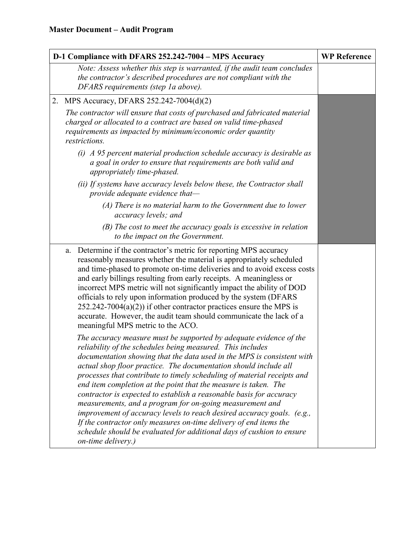| D-1 Compliance with DFARS 252.242-7004 - MPS Accuracy |                                                                                                                                                                                                                                                                                                                                                                                                                                                                                                                                                                                                                                                                                                                                                                                                               | <b>WP Reference</b> |
|-------------------------------------------------------|---------------------------------------------------------------------------------------------------------------------------------------------------------------------------------------------------------------------------------------------------------------------------------------------------------------------------------------------------------------------------------------------------------------------------------------------------------------------------------------------------------------------------------------------------------------------------------------------------------------------------------------------------------------------------------------------------------------------------------------------------------------------------------------------------------------|---------------------|
|                                                       | Note: Assess whether this step is warranted, if the audit team concludes<br>the contractor's described procedures are not compliant with the<br>DFARS requirements (step 1a above).                                                                                                                                                                                                                                                                                                                                                                                                                                                                                                                                                                                                                           |                     |
| 2.                                                    | MPS Accuracy, DFARS 252.242-7004(d)(2)                                                                                                                                                                                                                                                                                                                                                                                                                                                                                                                                                                                                                                                                                                                                                                        |                     |
|                                                       | The contractor will ensure that costs of purchased and fabricated material<br>charged or allocated to a contract are based on valid time-phased<br>requirements as impacted by minimum/economic order quantity<br>restrictions.                                                                                                                                                                                                                                                                                                                                                                                                                                                                                                                                                                               |                     |
|                                                       | $(i)$ A 95 percent material production schedule accuracy is desirable as<br>a goal in order to ensure that requirements are both valid and<br>appropriately time-phased.                                                                                                                                                                                                                                                                                                                                                                                                                                                                                                                                                                                                                                      |                     |
|                                                       | (ii) If systems have accuracy levels below these, the Contractor shall<br>provide adequate evidence that-                                                                                                                                                                                                                                                                                                                                                                                                                                                                                                                                                                                                                                                                                                     |                     |
|                                                       | $(A)$ There is no material harm to the Government due to lower<br>accuracy levels; and                                                                                                                                                                                                                                                                                                                                                                                                                                                                                                                                                                                                                                                                                                                        |                     |
|                                                       | $(B)$ The cost to meet the accuracy goals is excessive in relation<br>to the impact on the Government.                                                                                                                                                                                                                                                                                                                                                                                                                                                                                                                                                                                                                                                                                                        |                     |
|                                                       | Determine if the contractor's metric for reporting MPS accuracy<br>a.<br>reasonably measures whether the material is appropriately scheduled<br>and time-phased to promote on-time deliveries and to avoid excess costs<br>and early billings resulting from early receipts. A meaningless or<br>incorrect MPS metric will not significantly impact the ability of DOD<br>officials to rely upon information produced by the system (DFARS<br>$252.242 - 7004(a)(2)$ if other contractor practices ensure the MPS is<br>accurate. However, the audit team should communicate the lack of a<br>meaningful MPS metric to the ACO.                                                                                                                                                                               |                     |
|                                                       | The accuracy measure must be supported by adequate evidence of the<br>reliability of the schedules being measured. This includes<br>documentation showing that the data used in the MPS is consistent with<br>actual shop floor practice. The documentation should include all<br>processes that contribute to timely scheduling of material receipts and<br>end item completion at the point that the measure is taken. The<br>contractor is expected to establish a reasonable basis for accuracy<br>measurements, and a program for on-going measurement and<br>improvement of accuracy levels to reach desired accuracy goals. (e.g.,<br>If the contractor only measures on-time delivery of end items the<br>schedule should be evaluated for additional days of cushion to ensure<br>on-time delivery.) |                     |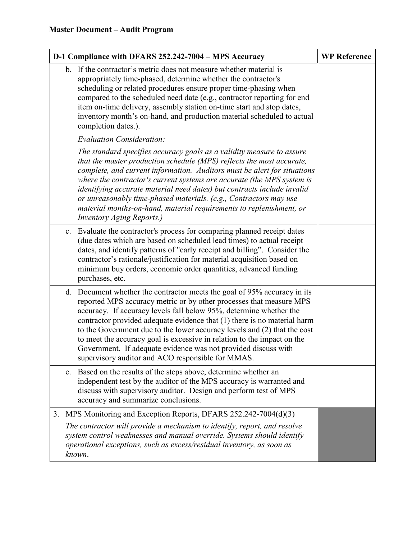| D-1 Compliance with DFARS 252.242-7004 - MPS Accuracy                                                                                                                                                                                                                                                                                                                                                                                                                                                                                                                           | <b>WP Reference</b> |
|---------------------------------------------------------------------------------------------------------------------------------------------------------------------------------------------------------------------------------------------------------------------------------------------------------------------------------------------------------------------------------------------------------------------------------------------------------------------------------------------------------------------------------------------------------------------------------|---------------------|
| b. If the contractor's metric does not measure whether material is<br>appropriately time-phased, determine whether the contractor's<br>scheduling or related procedures ensure proper time-phasing when<br>compared to the scheduled need date (e.g., contractor reporting for end<br>item on-time delivery, assembly station on-time start and stop dates,<br>inventory month's on-hand, and production material scheduled to actual<br>completion dates.).                                                                                                                    |                     |
| <b>Evaluation Consideration:</b>                                                                                                                                                                                                                                                                                                                                                                                                                                                                                                                                                |                     |
| The standard specifies accuracy goals as a validity measure to assure<br>that the master production schedule (MPS) reflects the most accurate,<br>complete, and current information. Auditors must be alert for situations<br>where the contractor's current systems are accurate (the MPS system is<br>identifying accurate material need dates) but contracts include invalid<br>or unreasonably time-phased materials. (e.g., Contractors may use<br>material months-on-hand, material requirements to replenishment, or<br><b>Inventory Aging Reports.)</b>                 |                     |
| c. Evaluate the contractor's process for comparing planned receipt dates<br>(due dates which are based on scheduled lead times) to actual receipt<br>dates, and identify patterns of "early receipt and billing". Consider the<br>contractor's rationale/justification for material acquisition based on<br>minimum buy orders, economic order quantities, advanced funding<br>purchases, etc.                                                                                                                                                                                  |                     |
| d. Document whether the contractor meets the goal of 95% accuracy in its<br>reported MPS accuracy metric or by other processes that measure MPS<br>accuracy. If accuracy levels fall below 95%, determine whether the<br>contractor provided adequate evidence that (1) there is no material harm<br>to the Government due to the lower accuracy levels and (2) that the cost<br>to meet the accuracy goal is excessive in relation to the impact on the<br>Government. If adequate evidence was not provided discuss with<br>supervisory auditor and ACO responsible for MMAS. |                     |
| e. Based on the results of the steps above, determine whether an<br>independent test by the auditor of the MPS accuracy is warranted and<br>discuss with supervisory auditor. Design and perform test of MPS<br>accuracy and summarize conclusions.                                                                                                                                                                                                                                                                                                                             |                     |
| MPS Monitoring and Exception Reports, DFARS 252.242-7004(d)(3)<br>3.                                                                                                                                                                                                                                                                                                                                                                                                                                                                                                            |                     |
| The contractor will provide a mechanism to identify, report, and resolve<br>system control weaknesses and manual override. Systems should identify<br>operational exceptions, such as excess/residual inventory, as soon as<br>known.                                                                                                                                                                                                                                                                                                                                           |                     |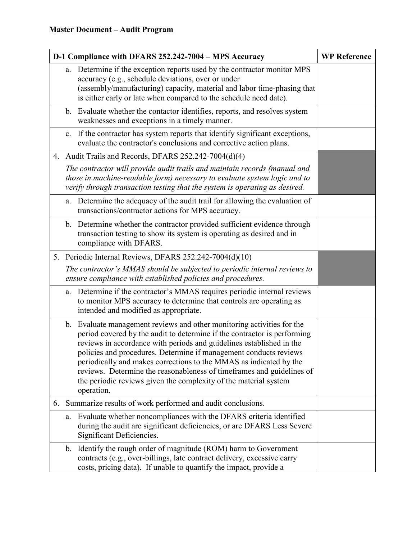| D-1 Compliance with DFARS 252.242-7004 - MPS Accuracy |                |                                                                                                                                                                                                                                                                                                                                                                                                                                                                                                                                  | <b>WP Reference</b> |
|-------------------------------------------------------|----------------|----------------------------------------------------------------------------------------------------------------------------------------------------------------------------------------------------------------------------------------------------------------------------------------------------------------------------------------------------------------------------------------------------------------------------------------------------------------------------------------------------------------------------------|---------------------|
|                                                       | a.             | Determine if the exception reports used by the contractor monitor MPS<br>accuracy (e.g., schedule deviations, over or under<br>(assembly/manufacturing) capacity, material and labor time-phasing that<br>is either early or late when compared to the schedule need date).                                                                                                                                                                                                                                                      |                     |
|                                                       |                | b. Evaluate whether the contactor identifies, reports, and resolves system<br>weaknesses and exceptions in a timely manner.                                                                                                                                                                                                                                                                                                                                                                                                      |                     |
|                                                       |                | c. If the contractor has system reports that identify significant exceptions,<br>evaluate the contractor's conclusions and corrective action plans.                                                                                                                                                                                                                                                                                                                                                                              |                     |
|                                                       |                | 4. Audit Trails and Records, DFARS 252.242-7004(d)(4)                                                                                                                                                                                                                                                                                                                                                                                                                                                                            |                     |
|                                                       |                | The contractor will provide audit trails and maintain records (manual and<br>those in machine-readable form) necessary to evaluate system logic and to<br>verify through transaction testing that the system is operating as desired.                                                                                                                                                                                                                                                                                            |                     |
|                                                       | a.             | Determine the adequacy of the audit trail for allowing the evaluation of<br>transactions/contractor actions for MPS accuracy.                                                                                                                                                                                                                                                                                                                                                                                                    |                     |
|                                                       |                | b. Determine whether the contractor provided sufficient evidence through<br>transaction testing to show its system is operating as desired and in<br>compliance with DFARS.                                                                                                                                                                                                                                                                                                                                                      |                     |
|                                                       |                | 5. Periodic Internal Reviews, DFARS 252.242-7004(d)(10)                                                                                                                                                                                                                                                                                                                                                                                                                                                                          |                     |
|                                                       |                | The contractor's MMAS should be subjected to periodic internal reviews to<br>ensure compliance with established policies and procedures.                                                                                                                                                                                                                                                                                                                                                                                         |                     |
|                                                       | a.             | Determine if the contractor's MMAS requires periodic internal reviews<br>to monitor MPS accuracy to determine that controls are operating as<br>intended and modified as appropriate.                                                                                                                                                                                                                                                                                                                                            |                     |
|                                                       |                | b. Evaluate management reviews and other monitoring activities for the<br>period covered by the audit to determine if the contractor is performing<br>reviews in accordance with periods and guidelines established in the<br>policies and procedures. Determine if management conducts reviews<br>periodically and makes corrections to the MMAS as indicated by the<br>reviews. Determine the reasonableness of timeframes and guidelines of<br>the periodic reviews given the complexity of the material system<br>operation. |                     |
| 6.                                                    |                | Summarize results of work performed and audit conclusions.                                                                                                                                                                                                                                                                                                                                                                                                                                                                       |                     |
|                                                       | a.             | Evaluate whether noncompliances with the DFARS criteria identified<br>during the audit are significant deficiencies, or are DFARS Less Severe<br>Significant Deficiencies.                                                                                                                                                                                                                                                                                                                                                       |                     |
|                                                       | $\mathbf{b}$ . | Identify the rough order of magnitude (ROM) harm to Government<br>contracts (e.g., over-billings, late contract delivery, excessive carry<br>costs, pricing data). If unable to quantify the impact, provide a                                                                                                                                                                                                                                                                                                                   |                     |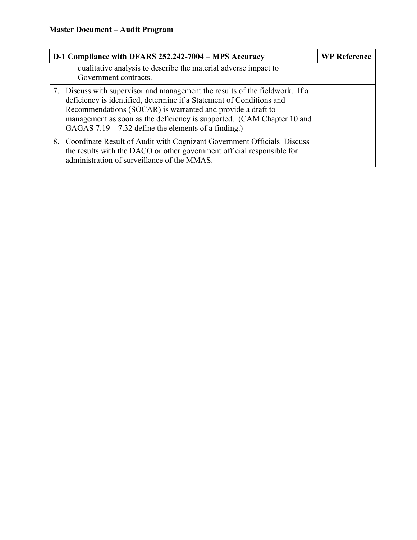| D-1 Compliance with DFARS 252.242-7004 - MPS Accuracy                                                                                                                                                                                                                                                                                                   | <b>WP Reference</b> |
|---------------------------------------------------------------------------------------------------------------------------------------------------------------------------------------------------------------------------------------------------------------------------------------------------------------------------------------------------------|---------------------|
| qualitative analysis to describe the material adverse impact to<br>Government contracts.                                                                                                                                                                                                                                                                |                     |
| 7. Discuss with supervisor and management the results of the fieldwork. If a<br>deficiency is identified, determine if a Statement of Conditions and<br>Recommendations (SOCAR) is warranted and provide a draft to<br>management as soon as the deficiency is supported. (CAM Chapter 10 and<br>GAGAS $7.19 - 7.32$ define the elements of a finding.) |                     |
| 8. Coordinate Result of Audit with Cognizant Government Officials Discuss<br>the results with the DACO or other government official responsible for<br>administration of surveillance of the MMAS.                                                                                                                                                      |                     |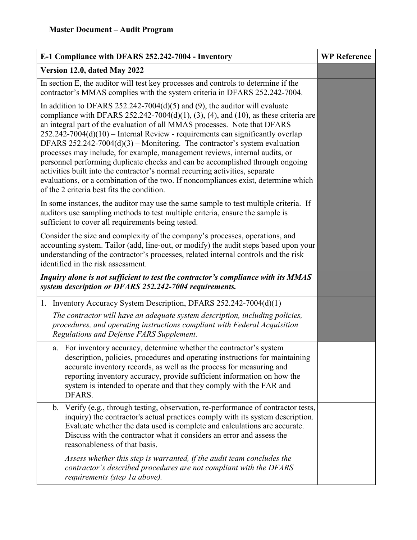| E-1 Compliance with DFARS 252.242-7004 - Inventory                                                                                                                                                                                                                                                                                                                                                                                                                                                                                                                                                                                                                                                                                                                                                    | <b>WP Reference</b> |
|-------------------------------------------------------------------------------------------------------------------------------------------------------------------------------------------------------------------------------------------------------------------------------------------------------------------------------------------------------------------------------------------------------------------------------------------------------------------------------------------------------------------------------------------------------------------------------------------------------------------------------------------------------------------------------------------------------------------------------------------------------------------------------------------------------|---------------------|
| Version 12.0, dated May 2022                                                                                                                                                                                                                                                                                                                                                                                                                                                                                                                                                                                                                                                                                                                                                                          |                     |
| In section E, the auditor will test key processes and controls to determine if the<br>contractor's MMAS complies with the system criteria in DFARS 252.242-7004.                                                                                                                                                                                                                                                                                                                                                                                                                                                                                                                                                                                                                                      |                     |
| In addition to DFARS 252.242-7004(d)(5) and (9), the auditor will evaluate<br>compliance with DFARS 252.242-7004(d)(1), (3), (4), and (10), as these criteria are<br>an integral part of the evaluation of all MMAS processes. Note that DFARS<br>252.242-7004(d)(10) - Internal Review - requirements can significantly overlap<br>DFARS $252.242 - 7004(d)(3)$ – Monitoring. The contractor's system evaluation<br>processes may include, for example, management reviews, internal audits, or<br>personnel performing duplicate checks and can be accomplished through ongoing<br>activities built into the contractor's normal recurring activities, separate<br>evaluations, or a combination of the two. If noncompliances exist, determine which<br>of the 2 criteria best fits the condition. |                     |
| In some instances, the auditor may use the same sample to test multiple criteria. If<br>auditors use sampling methods to test multiple criteria, ensure the sample is<br>sufficient to cover all requirements being tested.                                                                                                                                                                                                                                                                                                                                                                                                                                                                                                                                                                           |                     |
| Consider the size and complexity of the company's processes, operations, and<br>accounting system. Tailor (add, line-out, or modify) the audit steps based upon your<br>understanding of the contractor's processes, related internal controls and the risk<br>identified in the risk assessment.                                                                                                                                                                                                                                                                                                                                                                                                                                                                                                     |                     |
| Inquiry alone is not sufficient to test the contractor's compliance with its MMAS<br>system description or DFARS 252.242-7004 requirements.                                                                                                                                                                                                                                                                                                                                                                                                                                                                                                                                                                                                                                                           |                     |
| 1. Inventory Accuracy System Description, DFARS 252.242-7004(d)(1)                                                                                                                                                                                                                                                                                                                                                                                                                                                                                                                                                                                                                                                                                                                                    |                     |
| The contractor will have an adequate system description, including policies,<br>procedures, and operating instructions compliant with Federal Acquisition<br>Regulations and Defense FARS Supplement.                                                                                                                                                                                                                                                                                                                                                                                                                                                                                                                                                                                                 |                     |
| a. For inventory accuracy, determine whether the contractor's system<br>description, policies, procedures and operating instructions for maintaining<br>accurate inventory records, as well as the process for measuring and<br>reporting inventory accuracy, provide sufficient information on how the<br>system is intended to operate and that they comply with the FAR and<br>DFARS.                                                                                                                                                                                                                                                                                                                                                                                                              |                     |
| Verify (e.g., through testing, observation, re-performance of contractor tests,<br>b.<br>inquiry) the contractor's actual practices comply with its system description.<br>Evaluate whether the data used is complete and calculations are accurate.<br>Discuss with the contractor what it considers an error and assess the<br>reasonableness of that basis.                                                                                                                                                                                                                                                                                                                                                                                                                                        |                     |
| Assess whether this step is warranted, if the audit team concludes the<br>contractor's described procedures are not compliant with the DFARS<br>requirements (step 1a above).                                                                                                                                                                                                                                                                                                                                                                                                                                                                                                                                                                                                                         |                     |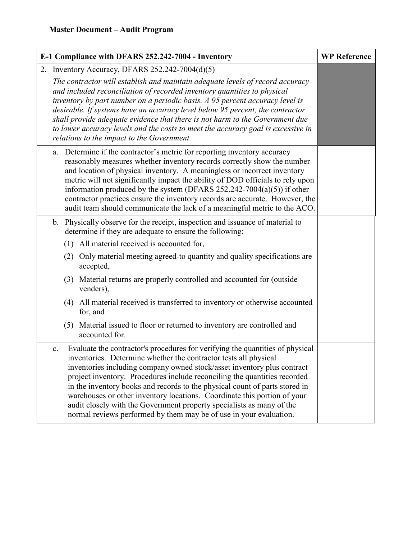| E-1 Compliance with DFARS 252.242-7004 - Inventory                                                                                                                                                                                                                                                                                                                                                                                                                                                                                                                                                                        | <b>WP Reference</b> |  |
|---------------------------------------------------------------------------------------------------------------------------------------------------------------------------------------------------------------------------------------------------------------------------------------------------------------------------------------------------------------------------------------------------------------------------------------------------------------------------------------------------------------------------------------------------------------------------------------------------------------------------|---------------------|--|
| 2. Inventory Accuracy, DFARS 252.242-7004(d)(5)                                                                                                                                                                                                                                                                                                                                                                                                                                                                                                                                                                           |                     |  |
| The contractor will establish and maintain adequate levels of record accuracy<br>and included reconciliation of recorded inventory quantities to physical<br>inventory by part number on a periodic basis. A 95 percent accuracy level is<br>desirable. If systems have an accuracy level below 95 percent, the contractor<br>shall provide adequate evidence that there is not harm to the Government due<br>to lower accuracy levels and the costs to meet the accuracy goal is excessive in<br>relations to the impact to the Government.                                                                              |                     |  |
| a. Determine if the contractor's metric for reporting inventory accuracy<br>reasonably measures whether inventory records correctly show the number<br>and location of physical inventory. A meaningless or incorrect inventory<br>metric will not significantly impact the ability of DOD officials to rely upon<br>information produced by the system (DFARS $252.242-7004(a)(5)$ ) if other<br>contractor practices ensure the inventory records are accurate. However, the<br>audit team should communicate the lack of a meaningful metric to the ACO.                                                               |                     |  |
| b. Physically observe for the receipt, inspection and issuance of material to<br>determine if they are adequate to ensure the following:                                                                                                                                                                                                                                                                                                                                                                                                                                                                                  |                     |  |
| (1) All material received is accounted for,                                                                                                                                                                                                                                                                                                                                                                                                                                                                                                                                                                               |                     |  |
| (2) Only material meeting agreed-to quantity and quality specifications are<br>accepted,                                                                                                                                                                                                                                                                                                                                                                                                                                                                                                                                  |                     |  |
| (3) Material returns are properly controlled and accounted for (outside<br>venders),                                                                                                                                                                                                                                                                                                                                                                                                                                                                                                                                      |                     |  |
| (4) All material received is transferred to inventory or otherwise accounted<br>for, and                                                                                                                                                                                                                                                                                                                                                                                                                                                                                                                                  |                     |  |
| (5) Material issued to floor or returned to inventory are controlled and<br>accounted for.                                                                                                                                                                                                                                                                                                                                                                                                                                                                                                                                |                     |  |
| Evaluate the contractor's procedures for verifying the quantities of physical<br>c.<br>inventories. Determine whether the contractor tests all physical<br>inventories including company owned stock/asset inventory plus contract<br>project inventory. Procedures include reconciling the quantities recorded<br>in the inventory books and records to the physical count of parts stored in<br>warehouses or other inventory locations. Coordinate this portion of your<br>audit closely with the Government property specialists as many of the<br>normal reviews performed by them may be of use in your evaluation. |                     |  |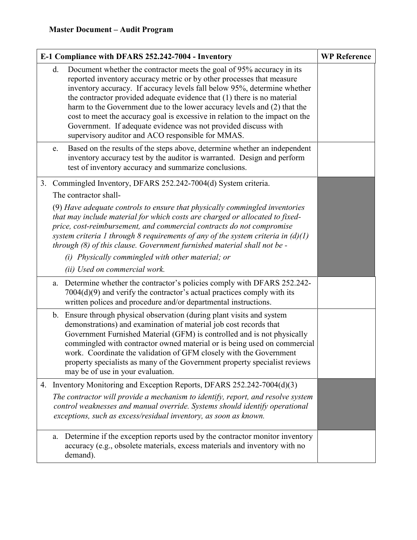| E-1 Compliance with DFARS 252.242-7004 - Inventory |    |                                                                                                                                                                                                                                                                                                                                                                                                                                                                                                                                                                                          | <b>WP Reference</b> |
|----------------------------------------------------|----|------------------------------------------------------------------------------------------------------------------------------------------------------------------------------------------------------------------------------------------------------------------------------------------------------------------------------------------------------------------------------------------------------------------------------------------------------------------------------------------------------------------------------------------------------------------------------------------|---------------------|
|                                                    | d. | Document whether the contractor meets the goal of 95% accuracy in its<br>reported inventory accuracy metric or by other processes that measure<br>inventory accuracy. If accuracy levels fall below 95%, determine whether<br>the contractor provided adequate evidence that (1) there is no material<br>harm to the Government due to the lower accuracy levels and (2) that the<br>cost to meet the accuracy goal is excessive in relation to the impact on the<br>Government. If adequate evidence was not provided discuss with<br>supervisory auditor and ACO responsible for MMAS. |                     |
|                                                    | e. | Based on the results of the steps above, determine whether an independent<br>inventory accuracy test by the auditor is warranted. Design and perform<br>test of inventory accuracy and summarize conclusions.                                                                                                                                                                                                                                                                                                                                                                            |                     |
|                                                    |    | 3. Commingled Inventory, DFARS 252.242-7004(d) System criteria.                                                                                                                                                                                                                                                                                                                                                                                                                                                                                                                          |                     |
|                                                    |    | The contractor shall-                                                                                                                                                                                                                                                                                                                                                                                                                                                                                                                                                                    |                     |
|                                                    |    | (9) Have adequate controls to ensure that physically commingled inventories<br>that may include material for which costs are charged or allocated to fixed-<br>price, cost-reimbursement, and commercial contracts do not compromise<br>system criteria 1 through 8 requirements of any of the system criteria in $(d)(1)$<br>through (8) of this clause. Government furnished material shall not be -                                                                                                                                                                                   |                     |
|                                                    |    | (i) Physically commingled with other material; or                                                                                                                                                                                                                                                                                                                                                                                                                                                                                                                                        |                     |
|                                                    |    | (ii) Used on commercial work.                                                                                                                                                                                                                                                                                                                                                                                                                                                                                                                                                            |                     |
|                                                    | a. | Determine whether the contractor's policies comply with DFARS 252.242-<br>$7004(d)(9)$ and verify the contractor's actual practices comply with its<br>written polices and procedure and/or departmental instructions.                                                                                                                                                                                                                                                                                                                                                                   |                     |
|                                                    |    | b. Ensure through physical observation (during plant visits and system<br>demonstrations) and examination of material job cost records that<br>Government Furnished Material (GFM) is controlled and is not physically<br>commingled with contractor owned material or is being used on commercial<br>work. Coordinate the validation of GFM closely with the Government<br>property specialists as many of the Government property specialist reviews<br>may be of use in your evaluation.                                                                                              |                     |
| 4.                                                 |    | Inventory Monitoring and Exception Reports, DFARS 252.242-7004(d)(3)                                                                                                                                                                                                                                                                                                                                                                                                                                                                                                                     |                     |
|                                                    |    | The contractor will provide a mechanism to identify, report, and resolve system<br>control weaknesses and manual override. Systems should identify operational<br>exceptions, such as excess/residual inventory, as soon as known.                                                                                                                                                                                                                                                                                                                                                       |                     |
|                                                    |    | a. Determine if the exception reports used by the contractor monitor inventory<br>accuracy (e.g., obsolete materials, excess materials and inventory with no<br>demand).                                                                                                                                                                                                                                                                                                                                                                                                                 |                     |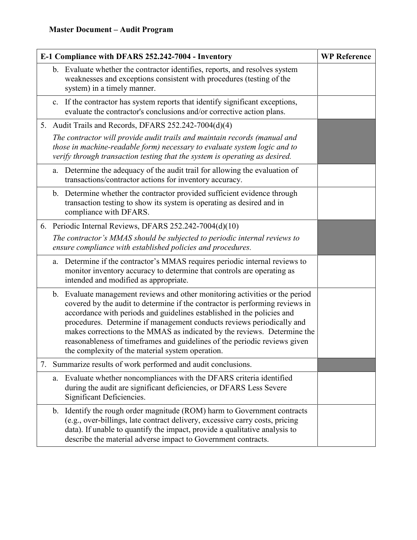| E-1 Compliance with DFARS 252.242-7004 - Inventory |               | <b>WP Reference</b>                                                                                                                                                                                                                                                                                                                                                                                                                                                                                                          |  |
|----------------------------------------------------|---------------|------------------------------------------------------------------------------------------------------------------------------------------------------------------------------------------------------------------------------------------------------------------------------------------------------------------------------------------------------------------------------------------------------------------------------------------------------------------------------------------------------------------------------|--|
|                                                    |               | b. Evaluate whether the contractor identifies, reports, and resolves system<br>weaknesses and exceptions consistent with procedures (testing of the<br>system) in a timely manner.                                                                                                                                                                                                                                                                                                                                           |  |
|                                                    | c.            | If the contractor has system reports that identify significant exceptions,<br>evaluate the contractor's conclusions and/or corrective action plans.                                                                                                                                                                                                                                                                                                                                                                          |  |
|                                                    |               | 5. Audit Trails and Records, DFARS 252.242-7004(d)(4)                                                                                                                                                                                                                                                                                                                                                                                                                                                                        |  |
|                                                    |               | The contractor will provide audit trails and maintain records (manual and<br>those in machine-readable form) necessary to evaluate system logic and to<br>verify through transaction testing that the system is operating as desired.                                                                                                                                                                                                                                                                                        |  |
|                                                    | a.            | Determine the adequacy of the audit trail for allowing the evaluation of<br>transactions/contractor actions for inventory accuracy.                                                                                                                                                                                                                                                                                                                                                                                          |  |
|                                                    |               | b. Determine whether the contractor provided sufficient evidence through<br>transaction testing to show its system is operating as desired and in<br>compliance with DFARS.                                                                                                                                                                                                                                                                                                                                                  |  |
|                                                    |               | 6. Periodic Internal Reviews, DFARS 252.242-7004(d)(10)                                                                                                                                                                                                                                                                                                                                                                                                                                                                      |  |
|                                                    |               | The contractor's MMAS should be subjected to periodic internal reviews to<br>ensure compliance with established policies and procedures.                                                                                                                                                                                                                                                                                                                                                                                     |  |
|                                                    | a.            | Determine if the contractor's MMAS requires periodic internal reviews to<br>monitor inventory accuracy to determine that controls are operating as<br>intended and modified as appropriate.                                                                                                                                                                                                                                                                                                                                  |  |
|                                                    |               | b. Evaluate management reviews and other monitoring activities or the period<br>covered by the audit to determine if the contractor is performing reviews in<br>accordance with periods and guidelines established in the policies and<br>procedures. Determine if management conducts reviews periodically and<br>makes corrections to the MMAS as indicated by the reviews. Determine the<br>reasonableness of timeframes and guidelines of the periodic reviews given<br>the complexity of the material system operation. |  |
| 7.                                                 |               | Summarize results of work performed and audit conclusions.                                                                                                                                                                                                                                                                                                                                                                                                                                                                   |  |
|                                                    | a.            | Evaluate whether noncompliances with the DFARS criteria identified<br>during the audit are significant deficiencies, or DFARS Less Severe<br>Significant Deficiencies.                                                                                                                                                                                                                                                                                                                                                       |  |
|                                                    | $\mathbf b$ . | Identify the rough order magnitude (ROM) harm to Government contracts<br>(e.g., over-billings, late contract delivery, excessive carry costs, pricing<br>data). If unable to quantify the impact, provide a qualitative analysis to<br>describe the material adverse impact to Government contracts.                                                                                                                                                                                                                         |  |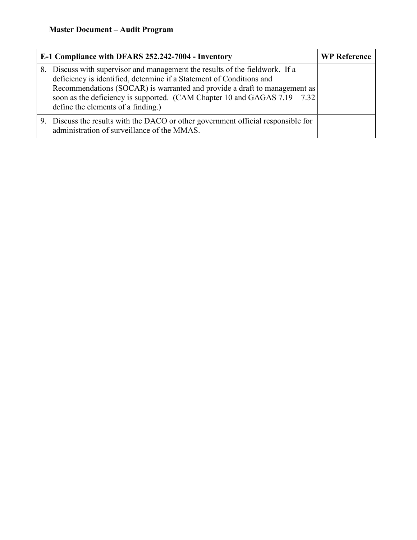| E-1 Compliance with DFARS 252.242-7004 - Inventory                                                                                                                                                                                                                                                                                                        | <b>WP Reference</b> |
|-----------------------------------------------------------------------------------------------------------------------------------------------------------------------------------------------------------------------------------------------------------------------------------------------------------------------------------------------------------|---------------------|
| 8. Discuss with supervisor and management the results of the fieldwork. If a<br>deficiency is identified, determine if a Statement of Conditions and<br>Recommendations (SOCAR) is warranted and provide a draft to management as<br>soon as the deficiency is supported. (CAM Chapter 10 and GAGAS $7.19 - 7.32$ )<br>define the elements of a finding.) |                     |
| 9. Discuss the results with the DACO or other government official responsible for<br>administration of surveillance of the MMAS.                                                                                                                                                                                                                          |                     |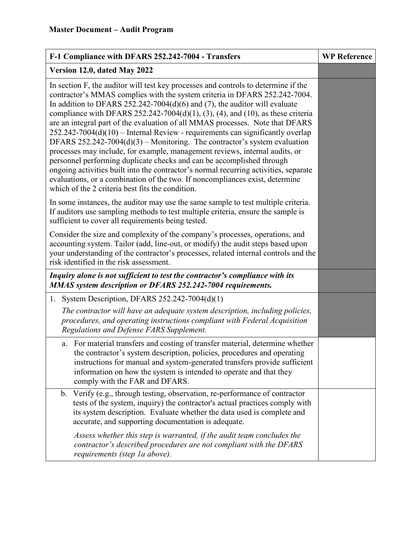| F-1 Compliance with DFARS 252.242-7004 - Transfers                                                                                                                                                                                                                                                                                                                                                                                                                                                                                                                                                                                                                                                                                                                                                                                                                                                                                                                        | <b>WP Reference</b> |
|---------------------------------------------------------------------------------------------------------------------------------------------------------------------------------------------------------------------------------------------------------------------------------------------------------------------------------------------------------------------------------------------------------------------------------------------------------------------------------------------------------------------------------------------------------------------------------------------------------------------------------------------------------------------------------------------------------------------------------------------------------------------------------------------------------------------------------------------------------------------------------------------------------------------------------------------------------------------------|---------------------|
| Version 12.0, dated May 2022                                                                                                                                                                                                                                                                                                                                                                                                                                                                                                                                                                                                                                                                                                                                                                                                                                                                                                                                              |                     |
| In section F, the auditor will test key processes and controls to determine if the<br>contractor's MMAS complies with the system criteria in DFARS 252.242-7004.<br>In addition to DFARS 252.242-7004(d)(6) and (7), the auditor will evaluate<br>compliance with DFARS 252.242-7004(d)(1), (3), (4), and (10), as these criteria<br>are an integral part of the evaluation of all MMAS processes. Note that DFARS<br>$252.242 - 7004(d)(10)$ – Internal Review - requirements can significantly overlap<br>DFARS 252.242-7004(d)(3) – Monitoring. The contractor's system evaluation<br>processes may include, for example, management reviews, internal audits, or<br>personnel performing duplicate checks and can be accomplished through<br>ongoing activities built into the contractor's normal recurring activities, separate<br>evaluations, or a combination of the two. If noncompliances exist, determine<br>which of the 2 criteria best fits the condition. |                     |
| In some instances, the auditor may use the same sample to test multiple criteria.<br>If auditors use sampling methods to test multiple criteria, ensure the sample is<br>sufficient to cover all requirements being tested.                                                                                                                                                                                                                                                                                                                                                                                                                                                                                                                                                                                                                                                                                                                                               |                     |
| Consider the size and complexity of the company's processes, operations, and<br>accounting system. Tailor (add, line-out, or modify) the audit steps based upon<br>your understanding of the contractor's processes, related internal controls and the<br>risk identified in the risk assessment.                                                                                                                                                                                                                                                                                                                                                                                                                                                                                                                                                                                                                                                                         |                     |
| Inquiry alone is not sufficient to test the contractor's compliance with its<br>MMAS system description or DFARS 252.242-7004 requirements.                                                                                                                                                                                                                                                                                                                                                                                                                                                                                                                                                                                                                                                                                                                                                                                                                               |                     |
| 1. System Description, DFARS $252.242-7004(d)(1)$                                                                                                                                                                                                                                                                                                                                                                                                                                                                                                                                                                                                                                                                                                                                                                                                                                                                                                                         |                     |
| The contractor will have an adequate system description, including policies,<br>procedures, and operating instructions compliant with Federal Acquisition<br>Regulations and Defense FARS Supplement.                                                                                                                                                                                                                                                                                                                                                                                                                                                                                                                                                                                                                                                                                                                                                                     |                     |
| For material transfers and costing of transfer material, determine whether<br>a.<br>the contractor's system description, policies, procedures and operating<br>instructions for manual and system-generated transfers provide sufficient<br>information on how the system is intended to operate and that they<br>comply with the FAR and DFARS.                                                                                                                                                                                                                                                                                                                                                                                                                                                                                                                                                                                                                          |                     |
| Verify (e.g., through testing, observation, re-performance of contractor<br>$\mathbf{b}$ .<br>tests of the system, inquiry) the contractor's actual practices comply with<br>its system description. Evaluate whether the data used is complete and<br>accurate, and supporting documentation is adequate.                                                                                                                                                                                                                                                                                                                                                                                                                                                                                                                                                                                                                                                                |                     |
| Assess whether this step is warranted, if the audit team concludes the<br>contractor's described procedures are not compliant with the DFARS<br>requirements (step 1a above).                                                                                                                                                                                                                                                                                                                                                                                                                                                                                                                                                                                                                                                                                                                                                                                             |                     |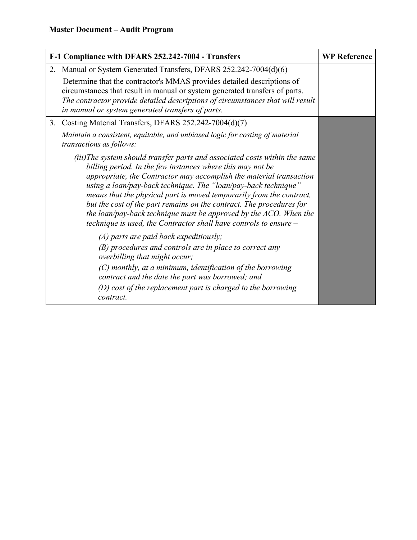| F-1 Compliance with DFARS 252.242-7004 - Transfers |                                                                                                                                                                                                                                                                                                                                                                                                                                                                                                                                                                                  | <b>WP Reference</b> |
|----------------------------------------------------|----------------------------------------------------------------------------------------------------------------------------------------------------------------------------------------------------------------------------------------------------------------------------------------------------------------------------------------------------------------------------------------------------------------------------------------------------------------------------------------------------------------------------------------------------------------------------------|---------------------|
|                                                    | 2. Manual or System Generated Transfers, DFARS 252.242-7004(d)(6)                                                                                                                                                                                                                                                                                                                                                                                                                                                                                                                |                     |
|                                                    | Determine that the contractor's MMAS provides detailed descriptions of<br>circumstances that result in manual or system generated transfers of parts.<br>The contractor provide detailed descriptions of circumstances that will result<br>in manual or system generated transfers of parts.                                                                                                                                                                                                                                                                                     |                     |
| 3.                                                 | Costing Material Transfers, DFARS 252.242-7004(d)(7)                                                                                                                                                                                                                                                                                                                                                                                                                                                                                                                             |                     |
|                                                    | Maintain a consistent, equitable, and unbiased logic for costing of material<br>transactions as follows:                                                                                                                                                                                                                                                                                                                                                                                                                                                                         |                     |
|                                                    | (iii)The system should transfer parts and associated costs within the same<br>billing period. In the few instances where this may not be<br>appropriate, the Contractor may accomplish the material transaction<br>using a loan/pay-back technique. The "loan/pay-back technique"<br>means that the physical part is moved temporarily from the contract,<br>but the cost of the part remains on the contract. The procedures for<br>the loan/pay-back technique must be approved by the $ACO$ . When the<br>technique is used, the Contractor shall have controls to ensure $-$ |                     |
|                                                    | $(A)$ parts are paid back expeditiously;<br>$(B)$ procedures and controls are in place to correct any<br>overbilling that might occur;                                                                                                                                                                                                                                                                                                                                                                                                                                           |                     |
|                                                    | (C) monthly, at a minimum, identification of the borrowing<br>contract and the date the part was borrowed; and                                                                                                                                                                                                                                                                                                                                                                                                                                                                   |                     |
|                                                    | (D) cost of the replacement part is charged to the borrowing<br>contract.                                                                                                                                                                                                                                                                                                                                                                                                                                                                                                        |                     |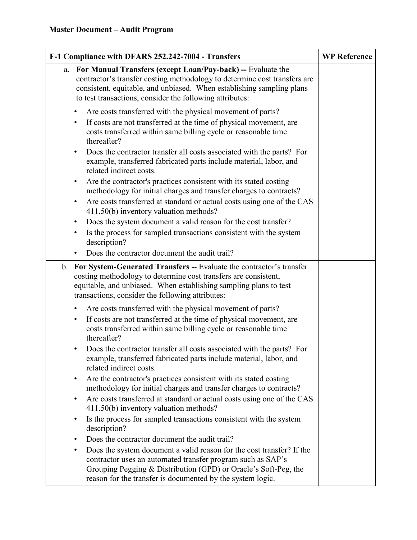| F-1 Compliance with DFARS 252.242-7004 - Transfers                                                                                                                                                                                                                                    | <b>WP Reference</b> |
|---------------------------------------------------------------------------------------------------------------------------------------------------------------------------------------------------------------------------------------------------------------------------------------|---------------------|
| For Manual Transfers (except Loan/Pay-back) -- Evaluate the<br>a.<br>contractor's transfer costing methodology to determine cost transfers are<br>consistent, equitable, and unbiased. When establishing sampling plans<br>to test transactions, consider the following attributes:   |                     |
| Are costs transferred with the physical movement of parts?<br>$\bullet$                                                                                                                                                                                                               |                     |
| If costs are not transferred at the time of physical movement, are<br>$\bullet$<br>costs transferred within same billing cycle or reasonable time<br>thereafter?                                                                                                                      |                     |
| Does the contractor transfer all costs associated with the parts? For<br>example, transferred fabricated parts include material, labor, and<br>related indirect costs.                                                                                                                |                     |
| Are the contractor's practices consistent with its stated costing<br>$\bullet$<br>methodology for initial charges and transfer charges to contracts?<br>Are costs transferred at standard or actual costs using one of the CAS<br>$\bullet$<br>411.50(b) inventory valuation methods? |                     |
| Does the system document a valid reason for the cost transfer?<br>$\bullet$                                                                                                                                                                                                           |                     |
| Is the process for sampled transactions consistent with the system<br>description?                                                                                                                                                                                                    |                     |
| Does the contractor document the audit trail?                                                                                                                                                                                                                                         |                     |
| b. For System-Generated Transfers -- Evaluate the contractor's transfer<br>costing methodology to determine cost transfers are consistent,<br>equitable, and unbiased. When establishing sampling plans to test<br>transactions, consider the following attributes:                   |                     |
| Are costs transferred with the physical movement of parts?                                                                                                                                                                                                                            |                     |
| If costs are not transferred at the time of physical movement, are<br>$\bullet$<br>costs transferred within same billing cycle or reasonable time<br>thereafter?                                                                                                                      |                     |
| Does the contractor transfer all costs associated with the parts? For<br>example, transferred fabricated parts include material, labor, and<br>related indirect costs.                                                                                                                |                     |
| Are the contractor's practices consistent with its stated costing<br>$\bullet$<br>methodology for initial charges and transfer charges to contracts?<br>Are costs transferred at standard or actual costs using one of the CAS<br>$\bullet$                                           |                     |
| 411.50(b) inventory valuation methods?                                                                                                                                                                                                                                                |                     |
| Is the process for sampled transactions consistent with the system<br>$\bullet$<br>description?                                                                                                                                                                                       |                     |
| Does the contractor document the audit trail?                                                                                                                                                                                                                                         |                     |
| Does the system document a valid reason for the cost transfer? If the<br>$\bullet$<br>contractor uses an automated transfer program such as SAP's<br>Grouping Pegging & Distribution (GPD) or Oracle's Soft-Peg, the<br>reason for the transfer is documented by the system logic.    |                     |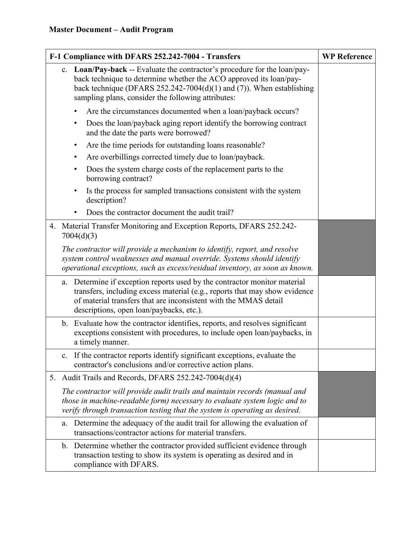| F-1 Compliance with DFARS 252.242-7004 - Transfers | <b>WP Reference</b>                                                                                                                                                                                                                                                               |  |
|----------------------------------------------------|-----------------------------------------------------------------------------------------------------------------------------------------------------------------------------------------------------------------------------------------------------------------------------------|--|
|                                                    | c. Loan/Pay-back -- Evaluate the contractor's procedure for the loan/pay-<br>back technique to determine whether the ACO approved its loan/pay-<br>back technique (DFARS $252.242 - 7004(d)(1)$ and (7)). When establishing<br>sampling plans, consider the following attributes: |  |
|                                                    | Are the circumstances documented when a loan/payback occurs?                                                                                                                                                                                                                      |  |
|                                                    | Does the loan/payback aging report identify the borrowing contract<br>٠<br>and the date the parts were borrowed?                                                                                                                                                                  |  |
|                                                    | Are the time periods for outstanding loans reasonable?<br>٠                                                                                                                                                                                                                       |  |
|                                                    | Are overbillings corrected timely due to loan/payback.<br>٠                                                                                                                                                                                                                       |  |
|                                                    | Does the system charge costs of the replacement parts to the<br>٠<br>borrowing contract?                                                                                                                                                                                          |  |
|                                                    | Is the process for sampled transactions consistent with the system<br>description?                                                                                                                                                                                                |  |
|                                                    | Does the contractor document the audit trail?                                                                                                                                                                                                                                     |  |
|                                                    | 4. Material Transfer Monitoring and Exception Reports, DFARS 252.242-<br>7004(d)(3)                                                                                                                                                                                               |  |
|                                                    | The contractor will provide a mechanism to identify, report, and resolve<br>system control weaknesses and manual override. Systems should identify<br>operational exceptions, such as excess/residual inventory, as soon as known.                                                |  |
|                                                    | Determine if exception reports used by the contractor monitor material<br>a.<br>transfers, including excess material (e.g., reports that may show evidence<br>of material transfers that are inconsistent with the MMAS detail<br>descriptions, open loan/paybacks, etc.).        |  |
|                                                    | b. Evaluate how the contractor identifies, reports, and resolves significant<br>exceptions consistent with procedures, to include open loan/paybacks, in<br>a timely manner.                                                                                                      |  |
|                                                    | If the contractor reports identify significant exceptions, evaluate the<br>contractor's conclusions and/or corrective action plans.                                                                                                                                               |  |
|                                                    | 5. Audit Trails and Records, DFARS 252.242-7004(d)(4)                                                                                                                                                                                                                             |  |
|                                                    | The contractor will provide audit trails and maintain records (manual and<br>those in machine-readable form) necessary to evaluate system logic and to<br>verify through transaction testing that the system is operating as desired.                                             |  |
|                                                    | Determine the adequacy of the audit trail for allowing the evaluation of<br>a.<br>transactions/contractor actions for material transfers.                                                                                                                                         |  |
|                                                    | b. Determine whether the contractor provided sufficient evidence through<br>transaction testing to show its system is operating as desired and in<br>compliance with DFARS.                                                                                                       |  |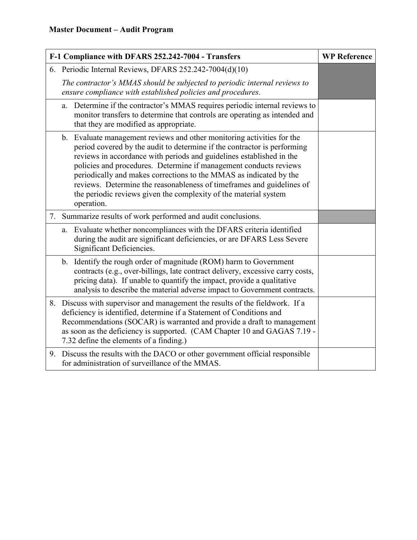| F-1 Compliance with DFARS 252.242-7004 - Transfers |                                                                                                                                                                                                                                                                                                                                                                                                                                                                                                                                  | <b>WP Reference</b> |  |
|----------------------------------------------------|----------------------------------------------------------------------------------------------------------------------------------------------------------------------------------------------------------------------------------------------------------------------------------------------------------------------------------------------------------------------------------------------------------------------------------------------------------------------------------------------------------------------------------|---------------------|--|
|                                                    | 6. Periodic Internal Reviews, DFARS 252.242-7004(d)(10)                                                                                                                                                                                                                                                                                                                                                                                                                                                                          |                     |  |
|                                                    | The contractor's MMAS should be subjected to periodic internal reviews to<br>ensure compliance with established policies and procedures.                                                                                                                                                                                                                                                                                                                                                                                         |                     |  |
|                                                    | Determine if the contractor's MMAS requires periodic internal reviews to<br>a.<br>monitor transfers to determine that controls are operating as intended and<br>that they are modified as appropriate.                                                                                                                                                                                                                                                                                                                           |                     |  |
|                                                    | b. Evaluate management reviews and other monitoring activities for the<br>period covered by the audit to determine if the contractor is performing<br>reviews in accordance with periods and guidelines established in the<br>policies and procedures. Determine if management conducts reviews<br>periodically and makes corrections to the MMAS as indicated by the<br>reviews. Determine the reasonableness of timeframes and guidelines of<br>the periodic reviews given the complexity of the material system<br>operation. |                     |  |
|                                                    | 7. Summarize results of work performed and audit conclusions.                                                                                                                                                                                                                                                                                                                                                                                                                                                                    |                     |  |
|                                                    | Evaluate whether noncompliances with the DFARS criteria identified<br>a.<br>during the audit are significant deficiencies, or are DFARS Less Severe<br>Significant Deficiencies.                                                                                                                                                                                                                                                                                                                                                 |                     |  |
|                                                    | Identify the rough order of magnitude (ROM) harm to Government<br>b.<br>contracts (e.g., over-billings, late contract delivery, excessive carry costs,<br>pricing data). If unable to quantify the impact, provide a qualitative<br>analysis to describe the material adverse impact to Government contracts.                                                                                                                                                                                                                    |                     |  |
|                                                    | 8. Discuss with supervisor and management the results of the fieldwork. If a<br>deficiency is identified, determine if a Statement of Conditions and<br>Recommendations (SOCAR) is warranted and provide a draft to management<br>as soon as the deficiency is supported. (CAM Chapter 10 and GAGAS 7.19 -<br>7.32 define the elements of a finding.)                                                                                                                                                                            |                     |  |
| 9.                                                 | Discuss the results with the DACO or other government official responsible<br>for administration of surveillance of the MMAS.                                                                                                                                                                                                                                                                                                                                                                                                    |                     |  |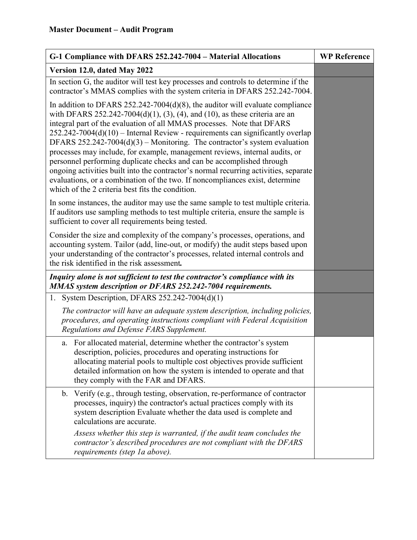| G-1 Compliance with DFARS 252.242-7004 - Material Allocations                                                                                                                                                                                                                                                                                                                                                                                                                                                                                                                                                                                                                                                                                                                                    | <b>WP Reference</b> |
|--------------------------------------------------------------------------------------------------------------------------------------------------------------------------------------------------------------------------------------------------------------------------------------------------------------------------------------------------------------------------------------------------------------------------------------------------------------------------------------------------------------------------------------------------------------------------------------------------------------------------------------------------------------------------------------------------------------------------------------------------------------------------------------------------|---------------------|
| Version 12.0, dated May 2022                                                                                                                                                                                                                                                                                                                                                                                                                                                                                                                                                                                                                                                                                                                                                                     |                     |
| In section G, the auditor will test key processes and controls to determine if the<br>contractor's MMAS complies with the system criteria in DFARS 252.242-7004.                                                                                                                                                                                                                                                                                                                                                                                                                                                                                                                                                                                                                                 |                     |
| In addition to DFARS $252.242-7004(d)(8)$ , the auditor will evaluate compliance<br>with DFARS 252.242-7004(d)(1), (3), (4), and (10), as these criteria are an<br>integral part of the evaluation of all MMAS processes. Note that DFARS<br>$252.242 - 7004(d)(10)$ – Internal Review - requirements can significantly overlap<br>DFARS 252.242-7004(d)(3) – Monitoring. The contractor's system evaluation<br>processes may include, for example, management reviews, internal audits, or<br>personnel performing duplicate checks and can be accomplished through<br>ongoing activities built into the contractor's normal recurring activities, separate<br>evaluations, or a combination of the two. If noncompliances exist, determine<br>which of the 2 criteria best fits the condition. |                     |
| In some instances, the auditor may use the same sample to test multiple criteria.<br>If auditors use sampling methods to test multiple criteria, ensure the sample is<br>sufficient to cover all requirements being tested.                                                                                                                                                                                                                                                                                                                                                                                                                                                                                                                                                                      |                     |
| Consider the size and complexity of the company's processes, operations, and<br>accounting system. Tailor (add, line-out, or modify) the audit steps based upon<br>your understanding of the contractor's processes, related internal controls and<br>the risk identified in the risk assessment.                                                                                                                                                                                                                                                                                                                                                                                                                                                                                                |                     |
| Inquiry alone is not sufficient to test the contractor's compliance with its<br>MMAS system description or DFARS 252.242-7004 requirements.                                                                                                                                                                                                                                                                                                                                                                                                                                                                                                                                                                                                                                                      |                     |
| System Description, DFARS 252.242-7004(d)(1)<br>1.                                                                                                                                                                                                                                                                                                                                                                                                                                                                                                                                                                                                                                                                                                                                               |                     |
| The contractor will have an adequate system description, including policies,<br>procedures, and operating instructions compliant with Federal Acquisition<br>Regulations and Defense FARS Supplement.                                                                                                                                                                                                                                                                                                                                                                                                                                                                                                                                                                                            |                     |
| For allocated material, determine whether the contractor's system<br>a.<br>description, policies, procedures and operating instructions for<br>allocating material pools to multiple cost objectives provide sufficient<br>detailed information on how the system is intended to operate and that<br>they comply with the FAR and DFARS.                                                                                                                                                                                                                                                                                                                                                                                                                                                         |                     |
| Verify (e.g., through testing, observation, re-performance of contractor<br>$\mathbf{b}$ .<br>processes, inquiry) the contractor's actual practices comply with its<br>system description Evaluate whether the data used is complete and<br>calculations are accurate.                                                                                                                                                                                                                                                                                                                                                                                                                                                                                                                           |                     |
| Assess whether this step is warranted, if the audit team concludes the<br>contractor's described procedures are not compliant with the DFARS<br>requirements (step 1a above).                                                                                                                                                                                                                                                                                                                                                                                                                                                                                                                                                                                                                    |                     |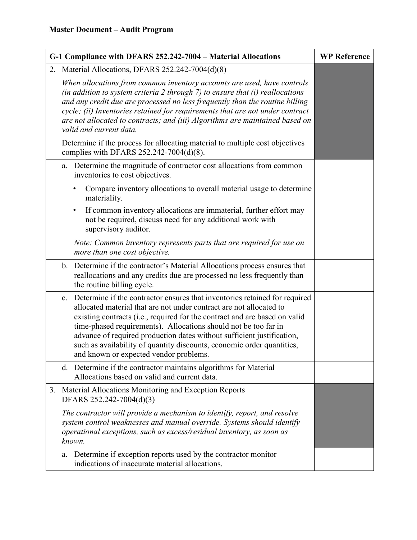| G-1 Compliance with DFARS 252.242-7004 - Material Allocations                                                                                                                                                                                                                                                                                                                                                                                                                                       | <b>WP Reference</b> |
|-----------------------------------------------------------------------------------------------------------------------------------------------------------------------------------------------------------------------------------------------------------------------------------------------------------------------------------------------------------------------------------------------------------------------------------------------------------------------------------------------------|---------------------|
| 2. Material Allocations, DFARS 252.242-7004(d)(8)                                                                                                                                                                                                                                                                                                                                                                                                                                                   |                     |
| When allocations from common inventory accounts are used, have controls<br>(in addition to system criteria 2 through $7$ ) to ensure that (i) reallocations<br>and any credit due are processed no less frequently than the routine billing<br>cycle; (ii) Inventories retained for requirements that are not under contract<br>are not allocated to contracts; and (iii) Algorithms are maintained based on<br>valid and current data.                                                             |                     |
| Determine if the process for allocating material to multiple cost objectives<br>complies with DFARS 252.242-7004(d)(8).                                                                                                                                                                                                                                                                                                                                                                             |                     |
| Determine the magnitude of contractor cost allocations from common<br>a.<br>inventories to cost objectives.                                                                                                                                                                                                                                                                                                                                                                                         |                     |
| Compare inventory allocations to overall material usage to determine<br>materiality.                                                                                                                                                                                                                                                                                                                                                                                                                |                     |
| If common inventory allocations are immaterial, further effort may<br>not be required, discuss need for any additional work with<br>supervisory auditor.                                                                                                                                                                                                                                                                                                                                            |                     |
| Note: Common inventory represents parts that are required for use on<br>more than one cost objective.                                                                                                                                                                                                                                                                                                                                                                                               |                     |
| b. Determine if the contractor's Material Allocations process ensures that<br>reallocations and any credits due are processed no less frequently than<br>the routine billing cycle.                                                                                                                                                                                                                                                                                                                 |                     |
| c. Determine if the contractor ensures that inventories retained for required<br>allocated material that are not under contract are not allocated to<br>existing contracts (i.e., required for the contract and are based on valid<br>time-phased requirements). Allocations should not be too far in<br>advance of required production dates without sufficient justification,<br>such as availability of quantity discounts, economic order quantities,<br>and known or expected vendor problems. |                     |
| d. Determine if the contractor maintains algorithms for Material<br>Allocations based on valid and current data.                                                                                                                                                                                                                                                                                                                                                                                    |                     |
| Material Allocations Monitoring and Exception Reports<br>3.<br>DFARS 252.242-7004(d)(3)                                                                                                                                                                                                                                                                                                                                                                                                             |                     |
| The contractor will provide a mechanism to identify, report, and resolve<br>system control weaknesses and manual override. Systems should identify<br>operational exceptions, such as excess/residual inventory, as soon as<br>known.                                                                                                                                                                                                                                                               |                     |
| Determine if exception reports used by the contractor monitor<br>a.<br>indications of inaccurate material allocations.                                                                                                                                                                                                                                                                                                                                                                              |                     |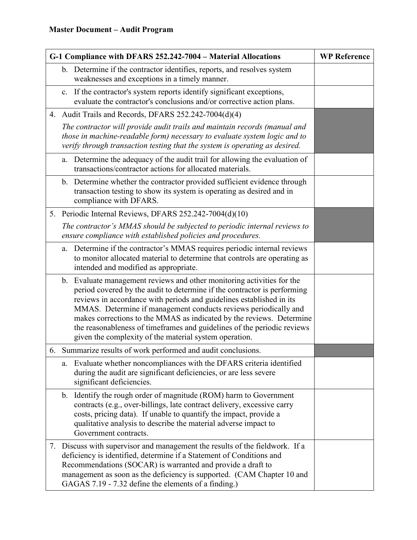| G-1 Compliance with DFARS 252.242-7004 - Material Allocations |                                                                                                                                                                                                                                                                                                                                                                                                                                                                                                            | <b>WP Reference</b> |
|---------------------------------------------------------------|------------------------------------------------------------------------------------------------------------------------------------------------------------------------------------------------------------------------------------------------------------------------------------------------------------------------------------------------------------------------------------------------------------------------------------------------------------------------------------------------------------|---------------------|
|                                                               | b. Determine if the contractor identifies, reports, and resolves system<br>weaknesses and exceptions in a timely manner.                                                                                                                                                                                                                                                                                                                                                                                   |                     |
|                                                               | If the contractor's system reports identify significant exceptions,<br>c.<br>evaluate the contractor's conclusions and/or corrective action plans.                                                                                                                                                                                                                                                                                                                                                         |                     |
|                                                               | 4. Audit Trails and Records, DFARS 252.242-7004(d)(4)                                                                                                                                                                                                                                                                                                                                                                                                                                                      |                     |
|                                                               | The contractor will provide audit trails and maintain records (manual and<br>those in machine-readable form) necessary to evaluate system logic and to<br>verify through transaction testing that the system is operating as desired.                                                                                                                                                                                                                                                                      |                     |
|                                                               | Determine the adequacy of the audit trail for allowing the evaluation of<br>a.<br>transactions/contractor actions for allocated materials.                                                                                                                                                                                                                                                                                                                                                                 |                     |
|                                                               | b. Determine whether the contractor provided sufficient evidence through<br>transaction testing to show its system is operating as desired and in<br>compliance with DFARS.                                                                                                                                                                                                                                                                                                                                |                     |
|                                                               | 5. Periodic Internal Reviews, DFARS 252.242-7004(d)(10)                                                                                                                                                                                                                                                                                                                                                                                                                                                    |                     |
|                                                               | The contractor's MMAS should be subjected to periodic internal reviews to<br>ensure compliance with established policies and procedures.                                                                                                                                                                                                                                                                                                                                                                   |                     |
|                                                               | Determine if the contractor's MMAS requires periodic internal reviews<br>a.<br>to monitor allocated material to determine that controls are operating as<br>intended and modified as appropriate.                                                                                                                                                                                                                                                                                                          |                     |
|                                                               | b. Evaluate management reviews and other monitoring activities for the<br>period covered by the audit to determine if the contractor is performing<br>reviews in accordance with periods and guidelines established in its<br>MMAS. Determine if management conducts reviews periodically and<br>makes corrections to the MMAS as indicated by the reviews. Determine<br>the reasonableness of timeframes and guidelines of the periodic reviews<br>given the complexity of the material system operation. |                     |
|                                                               | 6. Summarize results of work performed and audit conclusions.                                                                                                                                                                                                                                                                                                                                                                                                                                              |                     |
|                                                               | Evaluate whether noncompliances with the DFARS criteria identified<br>a.<br>during the audit are significant deficiencies, or are less severe<br>significant deficiencies.                                                                                                                                                                                                                                                                                                                                 |                     |
|                                                               | b. Identify the rough order of magnitude (ROM) harm to Government<br>contracts (e.g., over-billings, late contract delivery, excessive carry<br>costs, pricing data). If unable to quantify the impact, provide a<br>qualitative analysis to describe the material adverse impact to<br>Government contracts.                                                                                                                                                                                              |                     |
|                                                               | 7. Discuss with supervisor and management the results of the fieldwork. If a<br>deficiency is identified, determine if a Statement of Conditions and<br>Recommendations (SOCAR) is warranted and provide a draft to<br>management as soon as the deficiency is supported. (CAM Chapter 10 and<br>GAGAS 7.19 - 7.32 define the elements of a finding.)                                                                                                                                                      |                     |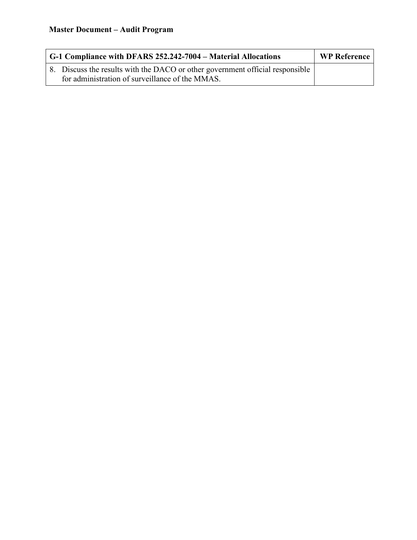| G-1 Compliance with DFARS 252.242-7004 – Material Allocations                                                                    | <b>WP Reference</b> |
|----------------------------------------------------------------------------------------------------------------------------------|---------------------|
| 8. Discuss the results with the DACO or other government official responsible<br>for administration of surveillance of the MMAS. |                     |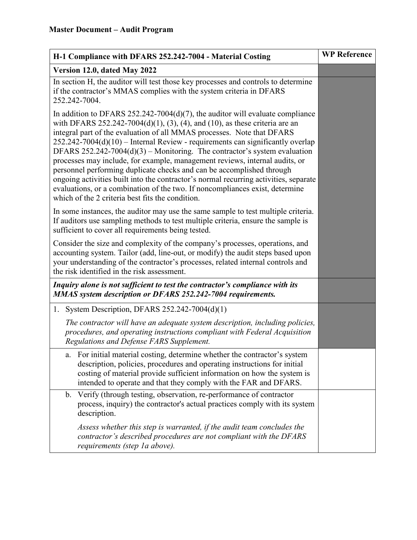| H-1 Compliance with DFARS 252.242-7004 - Material Costing                                                                                                                                                                                                                                                                                                                                                                                                                                                                                                                                                                                                                                                                                                                                       | <b>WP Reference</b> |
|-------------------------------------------------------------------------------------------------------------------------------------------------------------------------------------------------------------------------------------------------------------------------------------------------------------------------------------------------------------------------------------------------------------------------------------------------------------------------------------------------------------------------------------------------------------------------------------------------------------------------------------------------------------------------------------------------------------------------------------------------------------------------------------------------|---------------------|
| Version 12.0, dated May 2022                                                                                                                                                                                                                                                                                                                                                                                                                                                                                                                                                                                                                                                                                                                                                                    |                     |
| In section H, the auditor will test those key processes and controls to determine<br>if the contractor's MMAS complies with the system criteria in DFARS<br>252.242-7004.                                                                                                                                                                                                                                                                                                                                                                                                                                                                                                                                                                                                                       |                     |
| In addition to DFARS 252.242-7004(d)(7), the auditor will evaluate compliance<br>with DFARS 252.242-7004(d)(1), (3), (4), and (10), as these criteria are an<br>integral part of the evaluation of all MMAS processes. Note that DFARS<br>$252.242 - 7004(d)(10)$ – Internal Review - requirements can significantly overlap<br>DFARS $252.242-7004(d)(3)$ – Monitoring. The contractor's system evaluation<br>processes may include, for example, management reviews, internal audits, or<br>personnel performing duplicate checks and can be accomplished through<br>ongoing activities built into the contractor's normal recurring activities, separate<br>evaluations, or a combination of the two. If noncompliances exist, determine<br>which of the 2 criteria best fits the condition. |                     |
| In some instances, the auditor may use the same sample to test multiple criteria.<br>If auditors use sampling methods to test multiple criteria, ensure the sample is<br>sufficient to cover all requirements being tested.                                                                                                                                                                                                                                                                                                                                                                                                                                                                                                                                                                     |                     |
| Consider the size and complexity of the company's processes, operations, and<br>accounting system. Tailor (add, line-out, or modify) the audit steps based upon<br>your understanding of the contractor's processes, related internal controls and<br>the risk identified in the risk assessment.                                                                                                                                                                                                                                                                                                                                                                                                                                                                                               |                     |
| Inquiry alone is not sufficient to test the contractor's compliance with its<br>MMAS system description or DFARS 252.242-7004 requirements.                                                                                                                                                                                                                                                                                                                                                                                                                                                                                                                                                                                                                                                     |                     |
| 1. System Description, DFARS $252.242-7004(d)(1)$                                                                                                                                                                                                                                                                                                                                                                                                                                                                                                                                                                                                                                                                                                                                               |                     |
| The contractor will have an adequate system description, including policies,<br>procedures, and operating instructions compliant with Federal Acquisition<br>Regulations and Defense FARS Supplement.                                                                                                                                                                                                                                                                                                                                                                                                                                                                                                                                                                                           |                     |
| a. For initial material costing, determine whether the contractor's system<br>description, policies, procedures and operating instructions for initial<br>costing of material provide sufficient information on how the system is<br>intended to operate and that they comply with the FAR and DFARS.                                                                                                                                                                                                                                                                                                                                                                                                                                                                                           |                     |
| Verify (through testing, observation, re-performance of contractor<br>b.<br>process, inquiry) the contractor's actual practices comply with its system<br>description.                                                                                                                                                                                                                                                                                                                                                                                                                                                                                                                                                                                                                          |                     |
| Assess whether this step is warranted, if the audit team concludes the<br>contractor's described procedures are not compliant with the DFARS<br>requirements (step 1a above).                                                                                                                                                                                                                                                                                                                                                                                                                                                                                                                                                                                                                   |                     |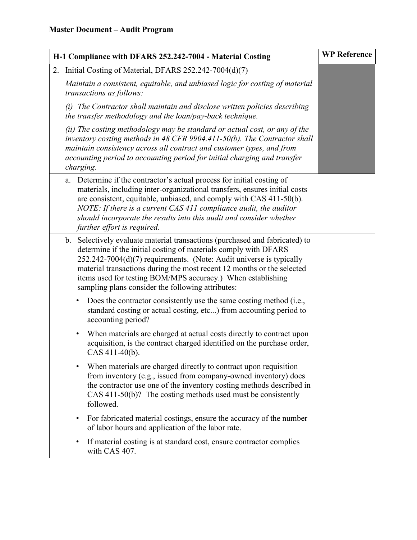| H-1 Compliance with DFARS 252.242-7004 - Material Costing | <b>WP Reference</b>                                                                                                                                                                                                                                                                                                                                                                                                     |  |
|-----------------------------------------------------------|-------------------------------------------------------------------------------------------------------------------------------------------------------------------------------------------------------------------------------------------------------------------------------------------------------------------------------------------------------------------------------------------------------------------------|--|
|                                                           | 2. Initial Costing of Material, DFARS 252.242-7004(d)(7)                                                                                                                                                                                                                                                                                                                                                                |  |
|                                                           | Maintain a consistent, equitable, and unbiased logic for costing of material<br>transactions as follows:                                                                                                                                                                                                                                                                                                                |  |
|                                                           | (i) The Contractor shall maintain and disclose written policies describing<br>the transfer methodology and the loan/pay-back technique.                                                                                                                                                                                                                                                                                 |  |
|                                                           | (ii) The costing methodology may be standard or actual cost, or any of the<br>inventory costing methods in 48 CFR 9904.411-50(b). The Contractor shall<br>maintain consistency across all contract and customer types, and from<br>accounting period to accounting period for initial charging and transfer<br>charging.                                                                                                |  |
|                                                           | a. Determine if the contractor's actual process for initial costing of<br>materials, including inter-organizational transfers, ensures initial costs<br>are consistent, equitable, unbiased, and comply with CAS 411-50(b).<br>NOTE: If there is a current CAS 411 compliance audit, the auditor<br>should incorporate the results into this audit and consider whether<br>further effort is required.                  |  |
|                                                           | b. Selectively evaluate material transactions (purchased and fabricated) to<br>determine if the initial costing of materials comply with DFARS<br>$252.242 - 7004(d)(7)$ requirements. (Note: Audit universe is typically<br>material transactions during the most recent 12 months or the selected<br>items used for testing BOM/MPS accuracy.) When establishing<br>sampling plans consider the following attributes: |  |
|                                                           | Does the contractor consistently use the same costing method (i.e.,<br>٠<br>standard costing or actual costing, etc) from accounting period to<br>accounting period?                                                                                                                                                                                                                                                    |  |
|                                                           | When materials are charged at actual costs directly to contract upon<br>$\bullet$<br>acquisition, is the contract charged identified on the purchase order,<br>CAS 411-40(b).                                                                                                                                                                                                                                           |  |
|                                                           | When materials are charged directly to contract upon requisition<br>from inventory (e.g., issued from company-owned inventory) does<br>the contractor use one of the inventory costing methods described in<br>CAS 411-50(b)? The costing methods used must be consistently<br>followed.                                                                                                                                |  |
|                                                           | For fabricated material costings, ensure the accuracy of the number<br>of labor hours and application of the labor rate.                                                                                                                                                                                                                                                                                                |  |
|                                                           | If material costing is at standard cost, ensure contractor complies<br>$\bullet$<br>with CAS 407.                                                                                                                                                                                                                                                                                                                       |  |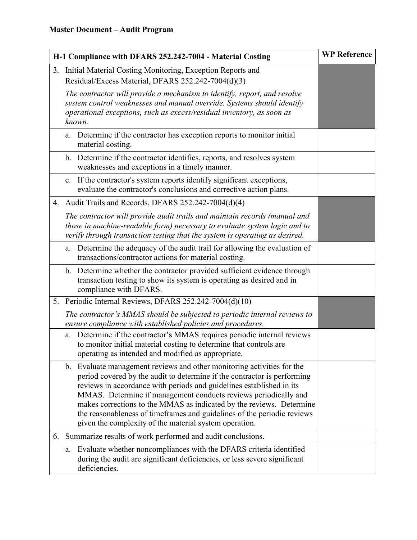| H-1 Compliance with DFARS 252.242-7004 - Material Costing |                                                                                                                                                                                                                                                                                                                                                                                                                                                                                                            | <b>WP Reference</b> |
|-----------------------------------------------------------|------------------------------------------------------------------------------------------------------------------------------------------------------------------------------------------------------------------------------------------------------------------------------------------------------------------------------------------------------------------------------------------------------------------------------------------------------------------------------------------------------------|---------------------|
|                                                           | 3. Initial Material Costing Monitoring, Exception Reports and<br>Residual/Excess Material, DFARS 252.242-7004(d)(3)                                                                                                                                                                                                                                                                                                                                                                                        |                     |
|                                                           | The contractor will provide a mechanism to identify, report, and resolve<br>system control weaknesses and manual override. Systems should identify<br>operational exceptions, such as excess/residual inventory, as soon as<br>known.                                                                                                                                                                                                                                                                      |                     |
|                                                           | Determine if the contractor has exception reports to monitor initial<br>a.<br>material costing.                                                                                                                                                                                                                                                                                                                                                                                                            |                     |
|                                                           | b. Determine if the contractor identifies, reports, and resolves system<br>weaknesses and exceptions in a timely manner.                                                                                                                                                                                                                                                                                                                                                                                   |                     |
|                                                           | c. If the contractor's system reports identify significant exceptions,<br>evaluate the contractor's conclusions and corrective action plans.                                                                                                                                                                                                                                                                                                                                                               |                     |
|                                                           | 4. Audit Trails and Records, DFARS 252.242-7004(d)(4)                                                                                                                                                                                                                                                                                                                                                                                                                                                      |                     |
|                                                           | The contractor will provide audit trails and maintain records (manual and<br>those in machine-readable form) necessary to evaluate system logic and to<br>verify through transaction testing that the system is operating as desired.                                                                                                                                                                                                                                                                      |                     |
|                                                           | Determine the adequacy of the audit trail for allowing the evaluation of<br>a.<br>transactions/contractor actions for material costing.                                                                                                                                                                                                                                                                                                                                                                    |                     |
|                                                           | b. Determine whether the contractor provided sufficient evidence through<br>transaction testing to show its system is operating as desired and in<br>compliance with DFARS.                                                                                                                                                                                                                                                                                                                                |                     |
|                                                           | 5. Periodic Internal Reviews, DFARS 252.242-7004(d)(10)                                                                                                                                                                                                                                                                                                                                                                                                                                                    |                     |
|                                                           | The contractor's MMAS should be subjected to periodic internal reviews to<br>ensure compliance with established policies and procedures.                                                                                                                                                                                                                                                                                                                                                                   |                     |
|                                                           | a. Determine if the contractor's MMAS requires periodic internal reviews<br>to monitor initial material costing to determine that controls are<br>operating as intended and modified as appropriate.                                                                                                                                                                                                                                                                                                       |                     |
|                                                           | b. Evaluate management reviews and other monitoring activities for the<br>period covered by the audit to determine if the contractor is performing<br>reviews in accordance with periods and guidelines established in its<br>MMAS. Determine if management conducts reviews periodically and<br>makes corrections to the MMAS as indicated by the reviews. Determine<br>the reasonableness of timeframes and guidelines of the periodic reviews<br>given the complexity of the material system operation. |                     |
| 6.                                                        | Summarize results of work performed and audit conclusions.                                                                                                                                                                                                                                                                                                                                                                                                                                                 |                     |
|                                                           | Evaluate whether noncompliances with the DFARS criteria identified<br>a.<br>during the audit are significant deficiencies, or less severe significant<br>deficiencies.                                                                                                                                                                                                                                                                                                                                     |                     |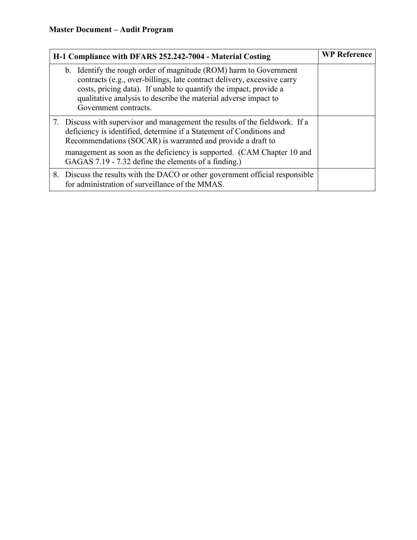| H-1 Compliance with DFARS 252.242-7004 - Material Costing                                                                                                                                                                                                                                                     | <b>WP Reference</b> |
|---------------------------------------------------------------------------------------------------------------------------------------------------------------------------------------------------------------------------------------------------------------------------------------------------------------|---------------------|
| b. Identify the rough order of magnitude (ROM) harm to Government<br>contracts (e.g., over-billings, late contract delivery, excessive carry<br>costs, pricing data). If unable to quantify the impact, provide a<br>qualitative analysis to describe the material adverse impact to<br>Government contracts. |                     |
| 7. Discuss with supervisor and management the results of the fieldwork. If a<br>deficiency is identified, determine if a Statement of Conditions and<br>Recommendations (SOCAR) is warranted and provide a draft to                                                                                           |                     |
| management as soon as the deficiency is supported. (CAM Chapter 10 and<br>GAGAS 7.19 - 7.32 define the elements of a finding.)                                                                                                                                                                                |                     |
| 8. Discuss the results with the DACO or other government official responsible<br>for administration of surveillance of the MMAS.                                                                                                                                                                              |                     |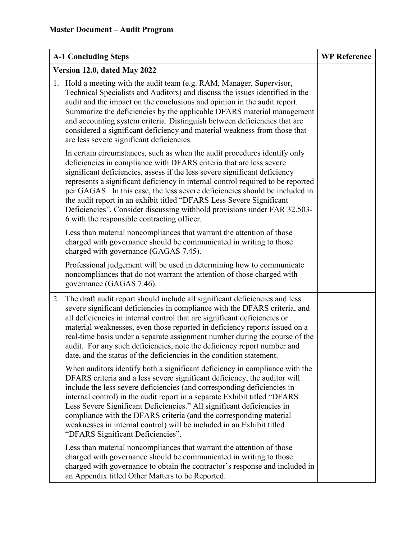| <b>A-1 Concluding Steps</b>                      |                                                                                                                                                                                                                                                                                                                                                                                                                                                                                                                                                        | <b>WP Reference</b> |
|--------------------------------------------------|--------------------------------------------------------------------------------------------------------------------------------------------------------------------------------------------------------------------------------------------------------------------------------------------------------------------------------------------------------------------------------------------------------------------------------------------------------------------------------------------------------------------------------------------------------|---------------------|
| Version 12.0, dated May 2022                     |                                                                                                                                                                                                                                                                                                                                                                                                                                                                                                                                                        |                     |
| are less severe significant deficiencies.        | 1. Hold a meeting with the audit team (e.g. RAM, Manager, Supervisor,<br>Technical Specialists and Auditors) and discuss the issues identified in the<br>audit and the impact on the conclusions and opinion in the audit report.<br>Summarize the deficiencies by the applicable DFARS material management<br>and accounting system criteria. Distinguish between deficiencies that are<br>considered a significant deficiency and material weakness from those that                                                                                  |                     |
| 6 with the responsible contracting officer.      | In certain circumstances, such as when the audit procedures identify only<br>deficiencies in compliance with DFARS criteria that are less severe<br>significant deficiencies, assess if the less severe significant deficiency<br>represents a significant deficiency in internal control required to be reported<br>per GAGAS. In this case, the less severe deficiencies should be included in<br>the audit report in an exhibit titled "DFARS Less Severe Significant<br>Deficiencies". Consider discussing withhold provisions under FAR 32.503-   |                     |
| charged with governance (GAGAS 7.45).            | Less than material noncompliances that warrant the attention of those<br>charged with governance should be communicated in writing to those                                                                                                                                                                                                                                                                                                                                                                                                            |                     |
| governance (GAGAS 7.46).                         | Professional judgement will be used in determining how to communicate<br>noncompliances that do not warrant the attention of those charged with                                                                                                                                                                                                                                                                                                                                                                                                        |                     |
| 2.                                               | The draft audit report should include all significant deficiencies and less<br>severe significant deficiencies in compliance with the DFARS criteria, and<br>all deficiencies in internal control that are significant deficiencies or<br>material weaknesses, even those reported in deficiency reports issued on a<br>real-time basis under a separate assignment number during the course of the<br>audit. For any such deficiencies, note the deficiency report number and<br>date, and the status of the deficiencies in the condition statement. |                     |
| "DFARS Significant Deficiencies".                | When auditors identify both a significant deficiency in compliance with the<br>DFARS criteria and a less severe significant deficiency, the auditor will<br>include the less severe deficiencies (and corresponding deficiencies in<br>internal control) in the audit report in a separate Exhibit titled "DFARS<br>Less Severe Significant Deficiencies." All significant deficiencies in<br>compliance with the DFARS criteria (and the corresponding material<br>weaknesses in internal control) will be included in an Exhibit titled              |                     |
| an Appendix titled Other Matters to be Reported. | Less than material noncompliances that warrant the attention of those<br>charged with governance should be communicated in writing to those<br>charged with governance to obtain the contractor's response and included in                                                                                                                                                                                                                                                                                                                             |                     |